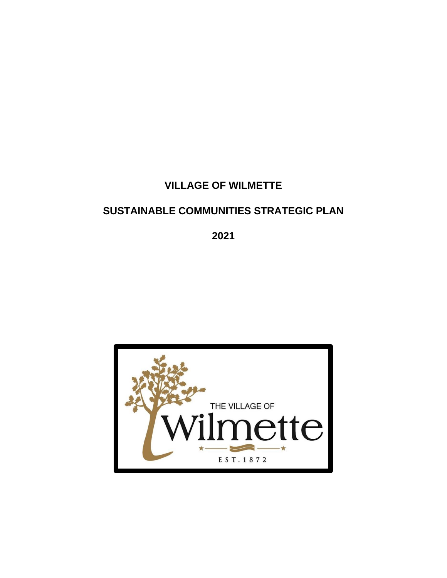# **VILLAGE OF WILMETTE**

# **SUSTAINABLE COMMUNITIES STRATEGIC PLAN**

**2021**

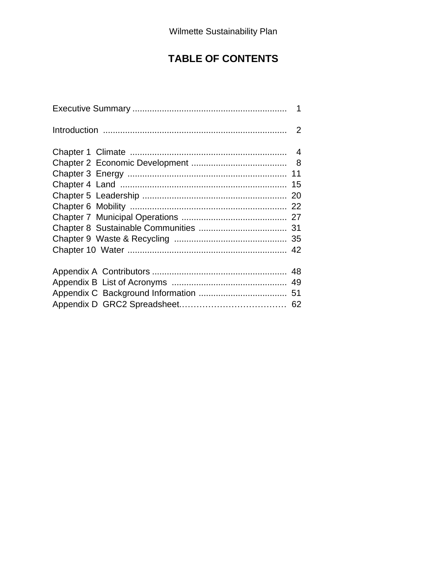# **TABLE OF CONTENTS**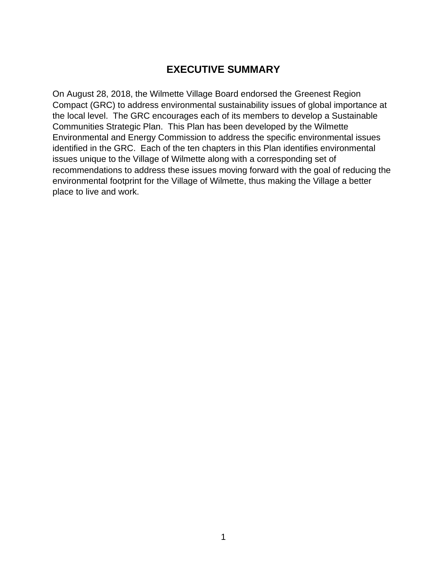# **EXECUTIVE SUMMARY**

On August 28, 2018, the Wilmette Village Board endorsed the Greenest Region Compact (GRC) to address environmental sustainability issues of global importance at the local level. The GRC encourages each of its members to develop a Sustainable Communities Strategic Plan. This Plan has been developed by the Wilmette Environmental and Energy Commission to address the specific environmental issues identified in the GRC. Each of the ten chapters in this Plan identifies environmental issues unique to the Village of Wilmette along with a corresponding set of recommendations to address these issues moving forward with the goal of reducing the environmental footprint for the Village of Wilmette, thus making the Village a better place to live and work.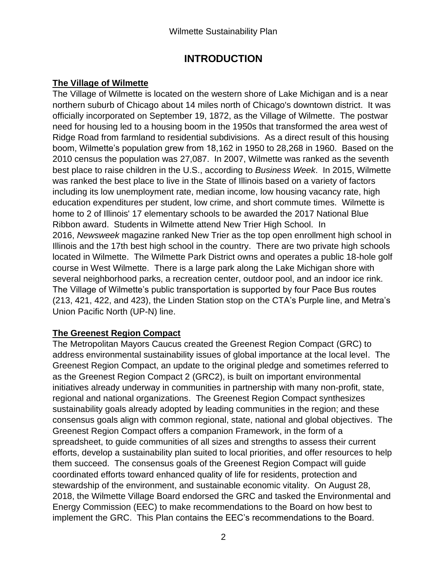# **INTRODUCTION**

## **The Village of Wilmette**

The Village of Wilmette is located on the western shore of Lake Michigan and is a near northern suburb of Chicago about 14 miles north of Chicago's downtown district. It was officially incorporated on September 19, 1872, as the Village of Wilmette. The postwar need for housing led to a housing boom in the 1950s that transformed the area west of Ridge Road from farmland to residential subdivisions. As a direct result of this housing boom, Wilmette's population grew from 18,162 in 1950 to 28,268 in 1960. Based on the 2010 census the population was 27,087. In 2007, Wilmette was ranked as the seventh best place to raise children in the U.S., according to *Business Week*. In 2015, Wilmette was ranked the best place to live in the State of Illinois based on a variety of factors including its low unemployment rate, median income, low housing vacancy rate, high education expenditures per student, low crime, and short commute times. Wilmette is home to 2 of Illinois' 17 elementary schools to be awarded the 2017 National Blue Ribbon award. Students in Wilmette attend New Trier High School. In 2016, *Newsweek* magazine ranked New Trier as the top open enrollment high school in Illinois and the 17th best high school in the country. There are two private high schools located in Wilmette. The Wilmette Park District owns and operates a public 18-hole golf course in West Wilmette. There is a large park along the Lake Michigan shore with several neighborhood parks, a recreation center, outdoor pool, and an indoor ice rink. The Village of Wilmette's public transportation is supported by four Pace Bus routes (213, 421, 422, and 423), the Linden Station stop on the CTA's Purple line, and Metra's Union Pacific North (UP-N) line.

# **The Greenest Region Compact**

The Metropolitan Mayors Caucus created the Greenest Region Compact (GRC) to address environmental sustainability issues of global importance at the local level. The Greenest Region Compact, an update to the original pledge and sometimes referred to as the Greenest Region Compact 2 (GRC2), is built on important environmental initiatives already underway in communities in partnership with many non-profit, state, regional and national organizations. The Greenest Region Compact synthesizes sustainability goals already adopted by leading communities in the region; and these consensus goals align with common regional, state, national and global objectives. The Greenest Region Compact offers a companion Framework, in the form of a spreadsheet, to guide communities of all sizes and strengths to assess their current efforts, develop a sustainability plan suited to local priorities, and offer resources to help them succeed. The consensus goals of the Greenest Region Compact will guide coordinated efforts toward enhanced quality of life for residents, protection and stewardship of the environment, and sustainable economic vitality. On August 28, 2018, the Wilmette Village Board endorsed the GRC and tasked the Environmental and Energy Commission (EEC) to make recommendations to the Board on how best to implement the GRC. This Plan contains the EEC's recommendations to the Board.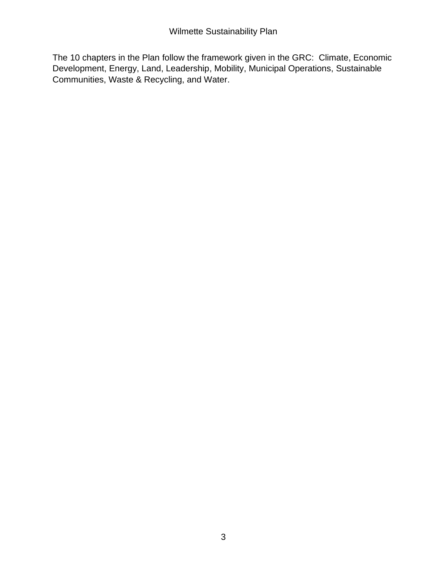The 10 chapters in the Plan follow the framework given in the GRC: Climate, Economic Development, Energy, Land, Leadership, Mobility, Municipal Operations, Sustainable Communities, Waste & Recycling, and Water.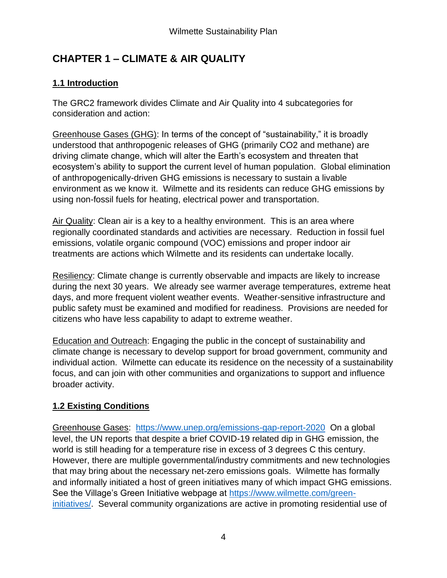# **CHAPTER 1 – CLIMATE & AIR QUALITY**

# **1.1 Introduction**

The GRC2 framework divides Climate and Air Quality into 4 subcategories for consideration and action:

Greenhouse Gases (GHG): In terms of the concept of "sustainability," it is broadly understood that anthropogenic releases of GHG (primarily CO2 and methane) are driving climate change, which will alter the Earth's ecosystem and threaten that ecosystem's ability to support the current level of human population. Global elimination of anthropogenically-driven GHG emissions is necessary to sustain a livable environment as we know it. Wilmette and its residents can reduce GHG emissions by using non-fossil fuels for heating, electrical power and transportation.

Air Quality: Clean air is a key to a healthy environment. This is an area where regionally coordinated standards and activities are necessary. Reduction in fossil fuel emissions, volatile organic compound (VOC) emissions and proper indoor air treatments are actions which Wilmette and its residents can undertake locally.

Resiliency: Climate change is currently observable and impacts are likely to increase during the next 30 years. We already see warmer average temperatures, extreme heat days, and more frequent violent weather events. Weather-sensitive infrastructure and public safety must be examined and modified for readiness. Provisions are needed for citizens who have less capability to adapt to extreme weather.

Education and Outreach: Engaging the public in the concept of sustainability and climate change is necessary to develop support for broad government, community and individual action. Wilmette can educate its residence on the necessity of a sustainability focus, and can join with other communities and organizations to support and influence broader activity.

# **1.2 Existing Conditions**

Greenhouse Gases: <https://www.unep.org/emissions-gap-report-2020>On a global level, the UN reports that despite a brief COVID-19 related dip in GHG emission, the world is still heading for a temperature rise in excess of 3 degrees C this century. However, there are multiple governmental/industry commitments and new technologies that may bring about the necessary net-zero emissions goals. Wilmette has formally and informally initiated a host of green initiatives many of which impact GHG emissions. See the Village's Green Initiative webpage at [https://www.wilmette.com/green](https://www.wilmette.com/green-initiatives/)[initiatives/.](https://www.wilmette.com/green-initiatives/) Several community organizations are active in promoting residential use of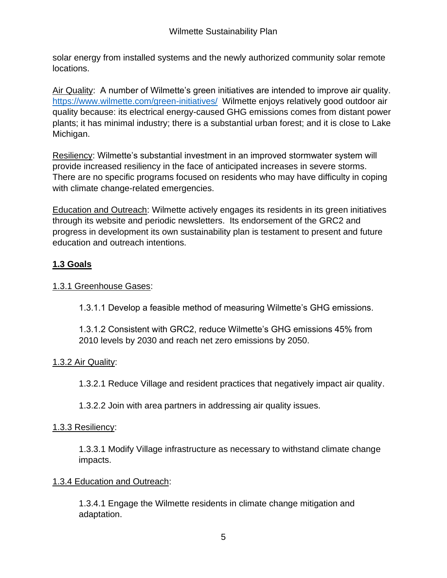solar energy from installed systems and the newly authorized community solar remote locations.

Air Quality: A number of Wilmette's green initiatives are intended to improve air quality. <https://www.wilmette.com/green-initiatives/>Wilmette enjoys relatively good outdoor air quality because: its electrical energy-caused GHG emissions comes from distant power plants; it has minimal industry; there is a substantial urban forest; and it is close to Lake Michigan.

Resiliency: Wilmette's substantial investment in an improved stormwater system will provide increased resiliency in the face of anticipated increases in severe storms. There are no specific programs focused on residents who may have difficulty in coping with climate change-related emergencies.

Education and Outreach: Wilmette actively engages its residents in its green initiatives through its website and periodic newsletters. Its endorsement of the GRC2 and progress in development its own sustainability plan is testament to present and future education and outreach intentions.

# **1.3 Goals**

## 1.3.1 Greenhouse Gases:

1.3.1.1 Develop a feasible method of measuring Wilmette's GHG emissions.

1.3.1.2 Consistent with GRC2, reduce Wilmette's GHG emissions 45% from 2010 levels by 2030 and reach net zero emissions by 2050.

# 1.3.2 Air Quality:

1.3.2.1 Reduce Village and resident practices that negatively impact air quality.

1.3.2.2 Join with area partners in addressing air quality issues.

## 1.3.3 Resiliency:

1.3.3.1 Modify Village infrastructure as necessary to withstand climate change impacts.

#### 1.3.4 Education and Outreach:

1.3.4.1 Engage the Wilmette residents in climate change mitigation and adaptation.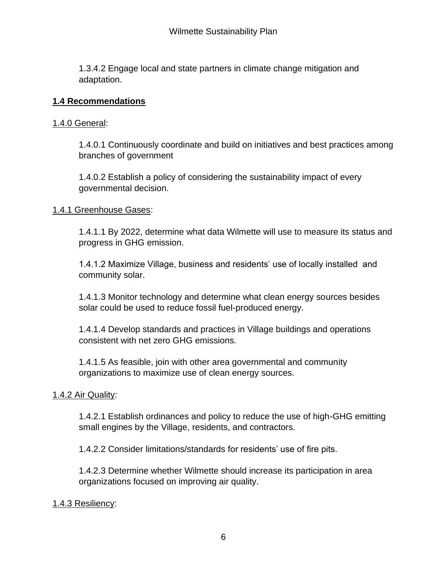1.3.4.2 Engage local and state partners in climate change mitigation and adaptation.

## **1.4 Recommendations**

## 1.4.0 General:

1.4.0.1 Continuously coordinate and build on initiatives and best practices among branches of government

1.4.0.2 Establish a policy of considering the sustainability impact of every governmental decision.

## 1.4.1 Greenhouse Gases:

1.4.1.1 By 2022, determine what data Wilmette will use to measure its status and progress in GHG emission.

1.4.1.2 Maximize Village, business and residents' use of locally installed and community solar.

1.4.1.3 Monitor technology and determine what clean energy sources besides solar could be used to reduce fossil fuel-produced energy.

1.4.1.4 Develop standards and practices in Village buildings and operations consistent with net zero GHG emissions.

1.4.1.5 As feasible, join with other area governmental and community organizations to maximize use of clean energy sources.

## 1.4.2 Air Quality:

1.4.2.1 Establish ordinances and policy to reduce the use of high-GHG emitting small engines by the Village, residents, and contractors.

1.4.2.2 Consider limitations/standards for residents' use of fire pits.

1.4.2.3 Determine whether Wilmette should increase its participation in area organizations focused on improving air quality.

## 1.4.3 Resiliency: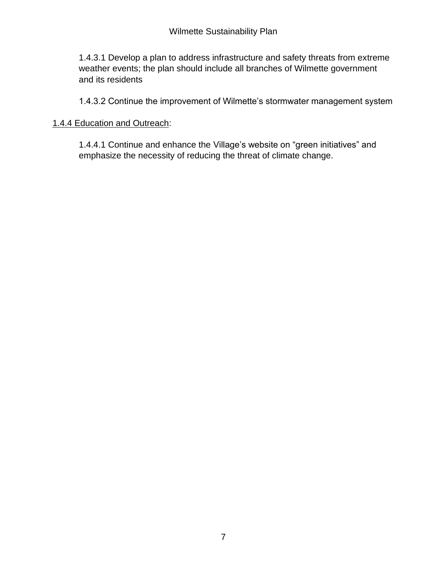1.4.3.1 Develop a plan to address infrastructure and safety threats from extreme weather events; the plan should include all branches of Wilmette government and its residents

1.4.3.2 Continue the improvement of Wilmette's stormwater management system

## 1.4.4 Education and Outreach:

1.4.4.1 Continue and enhance the Village's website on "green initiatives" and emphasize the necessity of reducing the threat of climate change.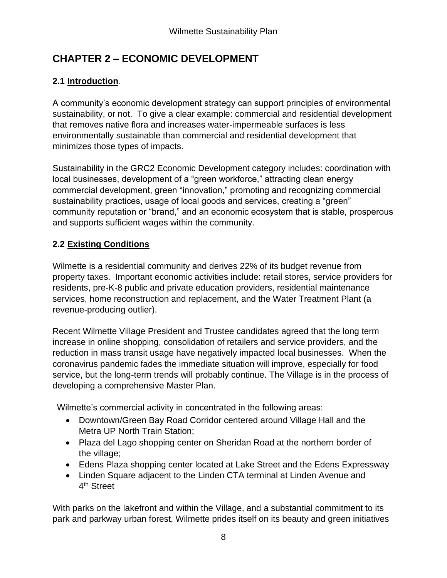# **CHAPTER 2 – ECONOMIC DEVELOPMENT**

# **2.1 Introduction***.*

A community's economic development strategy can support principles of environmental sustainability, or not. To give a clear example: commercial and residential development that removes native flora and increases water-impermeable surfaces is less environmentally sustainable than commercial and residential development that minimizes those types of impacts.

Sustainability in the GRC2 Economic Development category includes: coordination with local businesses, development of a "green workforce," attracting clean energy commercial development, green "innovation," promoting and recognizing commercial sustainability practices, usage of local goods and services, creating a "green" community reputation or "brand," and an economic ecosystem that is stable, prosperous and supports sufficient wages within the community.

# **2.2 Existing Conditions**

Wilmette is a residential community and derives 22% of its budget revenue from property taxes. Important economic activities include: retail stores, service providers for residents, pre-K-8 public and private education providers, residential maintenance services, home reconstruction and replacement, and the Water Treatment Plant (a revenue-producing outlier).

Recent Wilmette Village President and Trustee candidates agreed that the long term increase in online shopping, consolidation of retailers and service providers, and the reduction in mass transit usage have negatively impacted local businesses. When the coronavirus pandemic fades the immediate situation will improve, especially for food service, but the long-term trends will probably continue. The Village is in the process of developing a comprehensive Master Plan.

Wilmette's commercial activity in concentrated in the following areas:

- Downtown/Green Bay Road Corridor centered around Village Hall and the Metra UP North Train Station;
- Plaza del Lago shopping center on Sheridan Road at the northern border of the village;
- Edens Plaza shopping center located at Lake Street and the Edens Expressway
- Linden Square adjacent to the Linden CTA terminal at Linden Avenue and 4<sup>th</sup> Street

With parks on the lakefront and within the Village, and a substantial commitment to its park and parkway urban forest, Wilmette prides itself on its beauty and green initiatives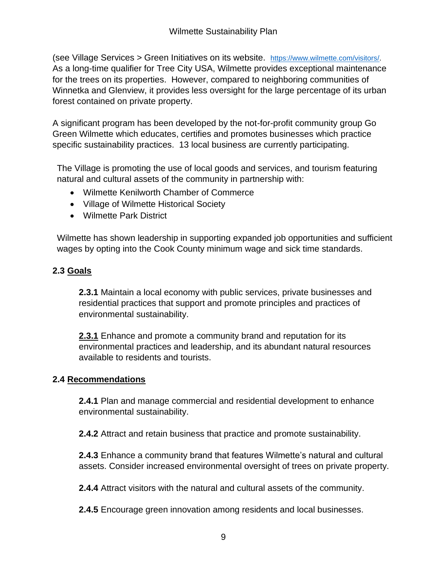(see Village Services > Green Initiatives on its website. [https://www.wilmette.com/visitors/.](https://www.wilmette.com/visitors/) As a long-time qualifier for Tree City USA, Wilmette provides exceptional maintenance for the trees on its properties. However, compared to neighboring communities of Winnetka and Glenview, it provides less oversight for the large percentage of its urban forest contained on private property.

A significant program has been developed by the not-for-profit community group Go Green Wilmette which educates, certifies and promotes businesses which practice specific sustainability practices. 13 local business are currently participating.

The Village is promoting the use of local goods and services, and tourism featuring natural and cultural assets of the community in partnership with:

- Wilmette Kenilworth Chamber of Commerce
- Village of Wilmette Historical Society
- Wilmette Park District

Wilmette has shown leadership in supporting expanded job opportunities and sufficient wages by opting into the Cook County minimum wage and sick time standards.

# **2.3 Goals**

**2.3.1** Maintain a local economy with public services, private businesses and residential practices that support and promote principles and practices of environmental sustainability.

**2.3.1** Enhance and promote a community brand and reputation for its environmental practices and leadership, and its abundant natural resources available to residents and tourists.

# **2.4 Recommendations**

**2.4.1** Plan and manage commercial and residential development to enhance environmental sustainability.

**2.4.2** Attract and retain business that practice and promote sustainability.

**2.4.3** Enhance a community brand that features Wilmette's natural and cultural assets. Consider increased environmental oversight of trees on private property.

**2.4.4** Attract visitors with the natural and cultural assets of the community.

**2.4.5** Encourage green innovation among residents and local businesses.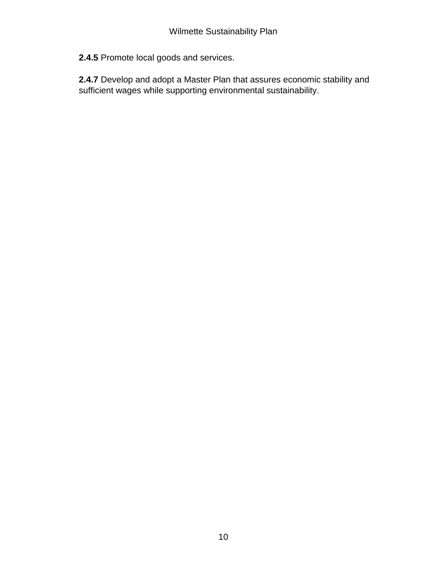**2.4.5** Promote local goods and services.

**2.4.7** Develop and adopt a Master Plan that assures economic stability and sufficient wages while supporting environmental sustainability.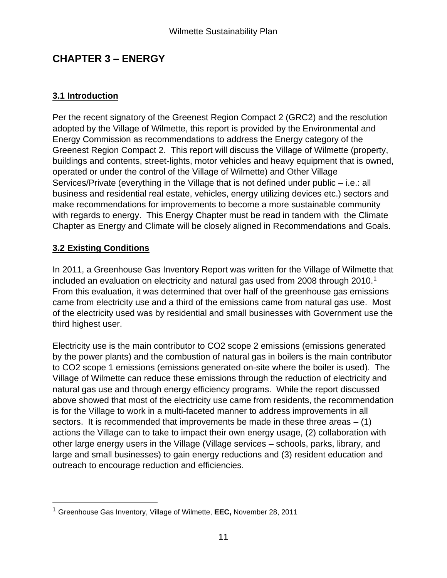# **CHAPTER 3 – ENERGY**

# **3.1 Introduction**

Per the recent signatory of the Greenest Region Compact 2 (GRC2) and the resolution adopted by the Village of Wilmette, this report is provided by the Environmental and Energy Commission as recommendations to address the Energy category of the Greenest Region Compact 2. This report will discuss the Village of Wilmette (property, buildings and contents, street-lights, motor vehicles and heavy equipment that is owned, operated or under the control of the Village of Wilmette) and Other Village Services/Private (everything in the Village that is not defined under public – i.e.: all business and residential real estate, vehicles, energy utilizing devices etc.) sectors and make recommendations for improvements to become a more sustainable community with regards to energy. This Energy Chapter must be read in tandem with the Climate Chapter as Energy and Climate will be closely aligned in Recommendations and Goals.

# **3.2 Existing Conditions**

In 2011, a Greenhouse Gas Inventory Report was written for the Village of Wilmette that included an evaluation on electricity and natural gas used from 2008 through 2010.<sup>1</sup> From this evaluation, it was determined that over half of the greenhouse gas emissions came from electricity use and a third of the emissions came from natural gas use. Most of the electricity used was by residential and small businesses with Government use the third highest user.

Electricity use is the main contributor to CO2 scope 2 emissions (emissions generated by the power plants) and the combustion of natural gas in boilers is the main contributor to CO2 scope 1 emissions (emissions generated on-site where the boiler is used). The Village of Wilmette can reduce these emissions through the reduction of electricity and natural gas use and through energy efficiency programs. While the report discussed above showed that most of the electricity use came from residents, the recommendation is for the Village to work in a multi-faceted manner to address improvements in all sectors. It is recommended that improvements be made in these three areas  $- (1)$ actions the Village can to take to impact their own energy usage, (2) collaboration with other large energy users in the Village (Village services – schools, parks, library, and large and small businesses) to gain energy reductions and (3) resident education and outreach to encourage reduction and efficiencies.

<sup>1</sup> Greenhouse Gas Inventory, Village of Wilmette, **EEC,** November 28, 2011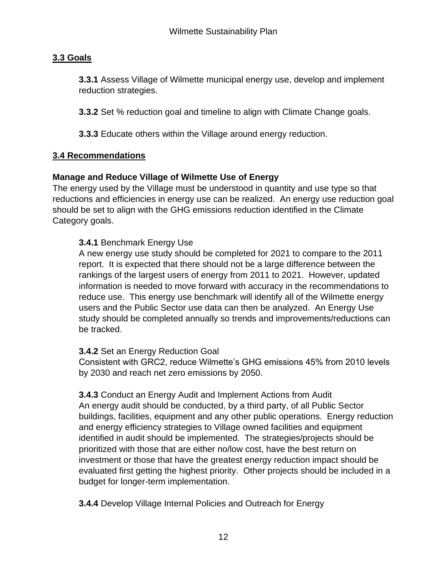# **3.3 Goals**

**3.3.1** Assess Village of Wilmette municipal energy use, develop and implement reduction strategies.

**3.3.2** Set % reduction goal and timeline to align with Climate Change goals.

**3.3.3** Educate others within the Village around energy reduction.

## **3.4 Recommendations**

## **Manage and Reduce Village of Wilmette Use of Energy**

The energy used by the Village must be understood in quantity and use type so that reductions and efficiencies in energy use can be realized. An energy use reduction goal should be set to align with the GHG emissions reduction identified in the Climate Category goals.

## **3.4.1** Benchmark Energy Use

A new energy use study should be completed for 2021 to compare to the 2011 report. It is expected that there should not be a large difference between the rankings of the largest users of energy from 2011 to 2021. However, updated information is needed to move forward with accuracy in the recommendations to reduce use. This energy use benchmark will identify all of the Wilmette energy users and the Public Sector use data can then be analyzed. An Energy Use study should be completed annually so trends and improvements/reductions can be tracked.

## **3.4.2** Set an Energy Reduction Goal

Consistent with GRC2, reduce Wilmette's GHG emissions 45% from 2010 levels by 2030 and reach net zero emissions by 2050.

**3.4.3** Conduct an Energy Audit and Implement Actions from Audit An energy audit should be conducted, by a third party, of all Public Sector buildings, facilities, equipment and any other public operations. Energy reduction and energy efficiency strategies to Village owned facilities and equipment identified in audit should be implemented. The strategies/projects should be prioritized with those that are either no/low cost, have the best return on investment or those that have the greatest energy reduction impact should be evaluated first getting the highest priority. Other projects should be included in a budget for longer-term implementation.

**3.4.4** Develop Village Internal Policies and Outreach for Energy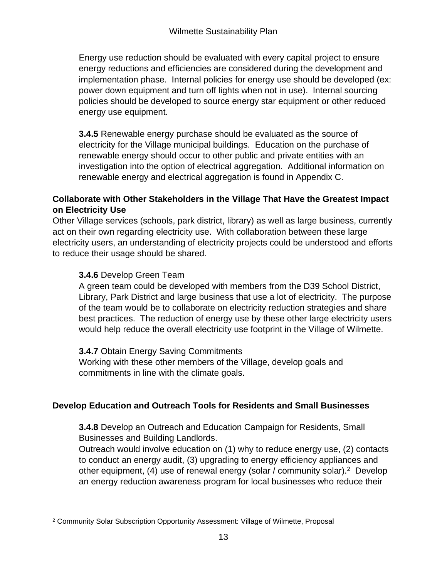Energy use reduction should be evaluated with every capital project to ensure energy reductions and efficiencies are considered during the development and implementation phase. Internal policies for energy use should be developed (ex: power down equipment and turn off lights when not in use). Internal sourcing policies should be developed to source energy star equipment or other reduced energy use equipment.

**3.4.5** Renewable energy purchase should be evaluated as the source of electricity for the Village municipal buildings. Education on the purchase of renewable energy should occur to other public and private entities with an investigation into the option of electrical aggregation. Additional information on renewable energy and electrical aggregation is found in Appendix C.

## **Collaborate with Other Stakeholders in the Village That Have the Greatest Impact on Electricity Use**

Other Village services (schools, park district, library) as well as large business, currently act on their own regarding electricity use. With collaboration between these large electricity users, an understanding of electricity projects could be understood and efforts to reduce their usage should be shared.

# **3.4.6** Develop Green Team

A green team could be developed with members from the D39 School District, Library, Park District and large business that use a lot of electricity. The purpose of the team would be to collaborate on electricity reduction strategies and share best practices. The reduction of energy use by these other large electricity users would help reduce the overall electricity use footprint in the Village of Wilmette.

# **3.4.7** Obtain Energy Saving Commitments

Working with these other members of the Village, develop goals and commitments in line with the climate goals.

# **Develop Education and Outreach Tools for Residents and Small Businesses**

**3.4.8** Develop an Outreach and Education Campaign for Residents, Small Businesses and Building Landlords.

Outreach would involve education on (1) why to reduce energy use, (2) contacts to conduct an energy audit, (3) upgrading to energy efficiency appliances and other equipment, (4) use of renewal energy (solar / community solar).<sup>2</sup> Develop an energy reduction awareness program for local businesses who reduce their

<sup>2</sup> Community Solar Subscription Opportunity Assessment: Village of Wilmette, Proposal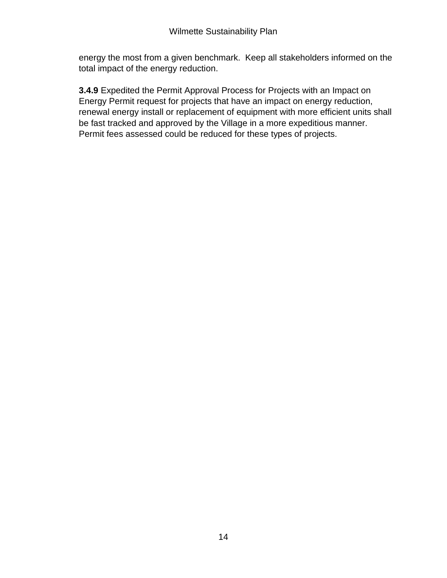energy the most from a given benchmark. Keep all stakeholders informed on the total impact of the energy reduction.

**3.4.9** Expedited the Permit Approval Process for Projects with an Impact on Energy Permit request for projects that have an impact on energy reduction, renewal energy install or replacement of equipment with more efficient units shall be fast tracked and approved by the Village in a more expeditious manner. Permit fees assessed could be reduced for these types of projects.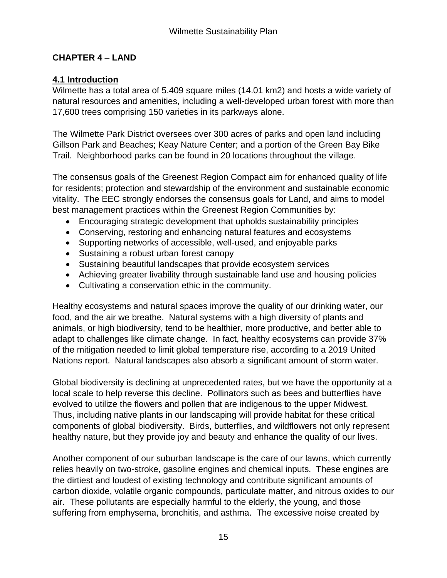## **CHAPTER 4 – LAND**

## **4.1 Introduction**

Wilmette has a total area of 5.409 square miles (14.01 km2) and hosts a wide variety of natural resources and amenities, including a well-developed urban forest with more than 17,600 trees comprising 150 varieties in its parkways alone.

The Wilmette Park District oversees over 300 acres of parks and open land including Gillson Park and Beaches; Keay Nature Center; and a portion of the Green Bay Bike Trail. Neighborhood parks can be found in 20 locations throughout the village.

The consensus goals of the Greenest Region Compact aim for enhanced quality of life for residents; protection and stewardship of the environment and sustainable economic vitality. The EEC strongly endorses the consensus goals for Land, and aims to model best management practices within the Greenest Region Communities by:

- Encouraging strategic development that upholds sustainability principles
- Conserving, restoring and enhancing natural features and ecosystems
- Supporting networks of accessible, well-used, and enjoyable parks
- Sustaining a robust urban forest canopy
- Sustaining beautiful landscapes that provide ecosystem services
- Achieving greater livability through sustainable land use and housing policies
- Cultivating a conservation ethic in the community.

Healthy ecosystems and natural spaces improve the quality of our drinking water, our food, and the air we breathe. Natural systems with a high diversity of plants and animals, or high biodiversity, tend to be healthier, more productive, and better able to adapt to challenges like climate change. In fact, healthy ecosystems can provide 37% of the mitigation needed to limit global temperature rise, according to a 2019 United Nations report. Natural landscapes also absorb a significant amount of storm water.

Global biodiversity is declining at unprecedented rates, but we have the opportunity at a local scale to help reverse this decline. Pollinators such as bees and butterflies have evolved to utilize the flowers and pollen that are indigenous to the upper Midwest. Thus, including native plants in our landscaping will provide habitat for these critical components of global biodiversity. Birds, butterflies, and wildflowers not only represent healthy nature, but they provide joy and beauty and enhance the quality of our lives.

Another component of our suburban landscape is the care of our lawns, which currently relies heavily on two-stroke, gasoline engines and chemical inputs. These engines are the dirtiest and loudest of existing technology and contribute significant amounts of carbon dioxide, volatile organic compounds, particulate matter, and nitrous oxides to our air. These pollutants are especially harmful to the elderly, the young, and those suffering from emphysema, bronchitis, and asthma. The excessive noise created by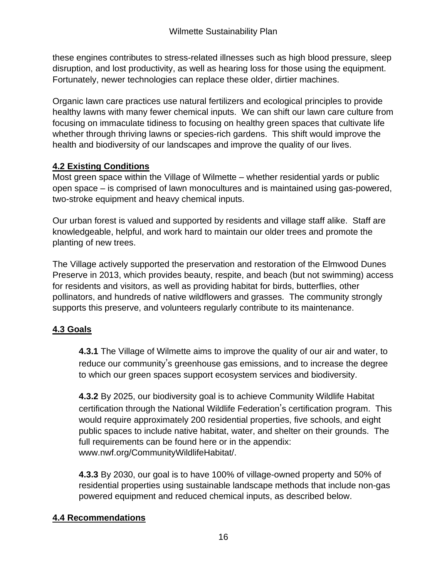these engines contributes to stress-related illnesses such as high blood pressure, sleep disruption, and lost productivity, as well as hearing loss for those using the equipment. Fortunately, newer technologies can replace these older, dirtier machines.

Organic lawn care practices use natural fertilizers and ecological principles to provide healthy lawns with many fewer chemical inputs. We can shift our lawn care culture from focusing on immaculate tidiness to focusing on healthy green spaces that cultivate life whether through thriving lawns or species-rich gardens. This shift would improve the health and biodiversity of our landscapes and improve the quality of our lives.

# **4.2 Existing Conditions**

Most green space within the Village of Wilmette – whether residential yards or public open space – is comprised of lawn monocultures and is maintained using gas-powered, two-stroke equipment and heavy chemical inputs.

Our urban forest is valued and supported by residents and village staff alike. Staff are knowledgeable, helpful, and work hard to maintain our older trees and promote the planting of new trees.

The Village actively supported the preservation and restoration of the Elmwood Dunes Preserve in 2013, which provides beauty, respite, and beach (but not swimming) access for residents and visitors, as well as providing habitat for birds, butterflies, other pollinators, and hundreds of native wildflowers and grasses. The community strongly supports this preserve, and volunteers regularly contribute to its maintenance.

# **4.3 Goals**

**4.3.1** The Village of Wilmette aims to improve the quality of our air and water, to reduce our community's greenhouse gas emissions, and to increase the degree to which our green spaces support ecosystem services and biodiversity.

**4.3.2** By 2025, our biodiversity goal is to achieve Community Wildlife Habitat certification through the National Wildlife Federation's certification program. This would require approximately 200 residential properties, five schools, and eight public spaces to include native habitat, water, and shelter on their grounds. The full requirements can be found here or in the appendix: www.nwf.org/CommunityWildlifeHabitat/.

**4.3.3** By 2030, our goal is to have 100% of village-owned property and 50% of residential properties using sustainable landscape methods that include non-gas powered equipment and reduced chemical inputs, as described below.

## **4.4 Recommendations**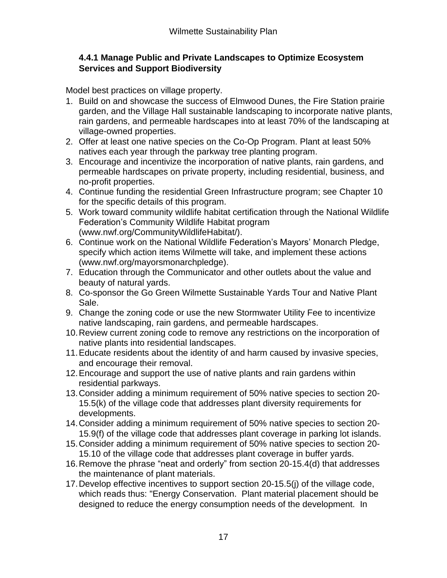## **4.4.1 Manage Public and Private Landscapes to Optimize Ecosystem Services and Support Biodiversity**

Model best practices on village property.

- 1. Build on and showcase the success of Elmwood Dunes, the Fire Station prairie garden, and the Village Hall sustainable landscaping to incorporate native plants, rain gardens, and permeable hardscapes into at least 70% of the landscaping at village-owned properties.
- 2. Offer at least one native species on the Co-Op Program. Plant at least 50% natives each year through the parkway tree planting program.
- 3. Encourage and incentivize the incorporation of native plants, rain gardens, and permeable hardscapes on private property, including residential, business, and no-profit properties.
- 4. Continue funding the residential Green Infrastructure program; see Chapter 10 for the specific details of this program.
- 5. Work toward community wildlife habitat certification through the National Wildlife Federation's Community Wildlife Habitat program (www.nwf.org/CommunityWildlifeHabitat/).
- 6. Continue work on the National Wildlife Federation's Mayors' Monarch Pledge, specify which action items Wilmette will take, and implement these actions (www.nwf.org/mayorsmonarchpledge).
- 7. Education through the Communicator and other outlets about the value and beauty of natural yards.
- 8. Co-sponsor the Go Green Wilmette Sustainable Yards Tour and Native Plant Sale.
- 9. Change the zoning code or use the new Stormwater Utility Fee to incentivize native landscaping, rain gardens, and permeable hardscapes.
- 10.Review current zoning code to remove any restrictions on the incorporation of native plants into residential landscapes.
- 11.Educate residents about the identity of and harm caused by invasive species, and encourage their removal.
- 12.Encourage and support the use of native plants and rain gardens within residential parkways.
- 13.Consider adding a minimum requirement of 50% native species to section 20- 15.5(k) of the village code that addresses plant diversity requirements for developments.
- 14.Consider adding a minimum requirement of 50% native species to section 20- 15.9(f) of the village code that addresses plant coverage in parking lot islands.
- 15.Consider adding a minimum requirement of 50% native species to section 20- 15.10 of the village code that addresses plant coverage in buffer yards.
- 16.Remove the phrase "neat and orderly" from section 20-15.4(d) that addresses the maintenance of plant materials.
- 17.Develop effective incentives to support section 20-15.5(j) of the village code, which reads thus: "Energy Conservation. Plant material placement should be designed to reduce the energy consumption needs of the development. In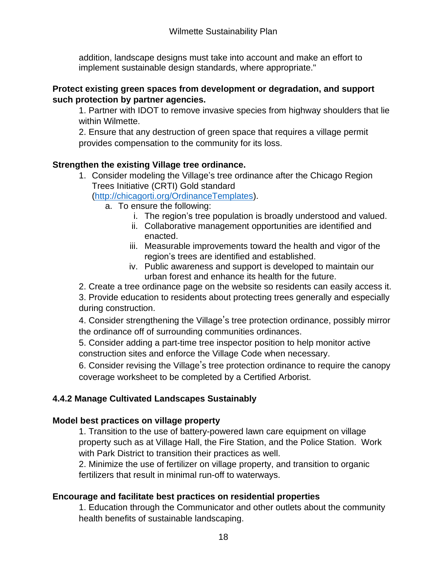addition, landscape designs must take into account and make an effort to implement sustainable design standards, where appropriate."

## **Protect existing green spaces from development or degradation, and support such protection by partner agencies.**

1. Partner with IDOT to remove invasive species from highway shoulders that lie within Wilmette.

2. Ensure that any destruction of green space that requires a village permit provides compensation to the community for its loss.

# **Strengthen the existing Village tree ordinance.**

- 1. Consider modeling the Village's tree ordinance after the Chicago Region Trees Initiative (CRTI) Gold standard [\(http://chicagorti.org/OrdinanceTemplates\)](http://chicagorti.org/OrdinanceTemplates).
	- a. To ensure the following:
		- i. The region's tree population is broadly understood and valued.
		- ii. Collaborative management opportunities are identified and enacted.
		- iii. Measurable improvements toward the health and vigor of the region's trees are identified and established.
		- iv. Public awareness and support is developed to maintain our urban forest and enhance its health for the future.
- 2. Create a tree ordinance page on the website so residents can easily access it.

3. Provide education to residents about protecting trees generally and especially during construction.

4. Consider strengthening the Village's tree protection ordinance, possibly mirror the ordinance off of surrounding communities ordinances.

5. Consider adding a part-time tree inspector position to help monitor active construction sites and enforce the Village Code when necessary.

6. Consider revising the Village's tree protection ordinance to require the canopy coverage worksheet to be completed by a Certified Arborist.

# **4.4.2 Manage Cultivated Landscapes Sustainably**

# **Model best practices on village property**

1. Transition to the use of battery-powered lawn care equipment on village property such as at Village Hall, the Fire Station, and the Police Station. Work with Park District to transition their practices as well.

2. Minimize the use of fertilizer on village property, and transition to organic fertilizers that result in minimal run-off to waterways.

# **Encourage and facilitate best practices on residential properties**

1. Education through the Communicator and other outlets about the community health benefits of sustainable landscaping.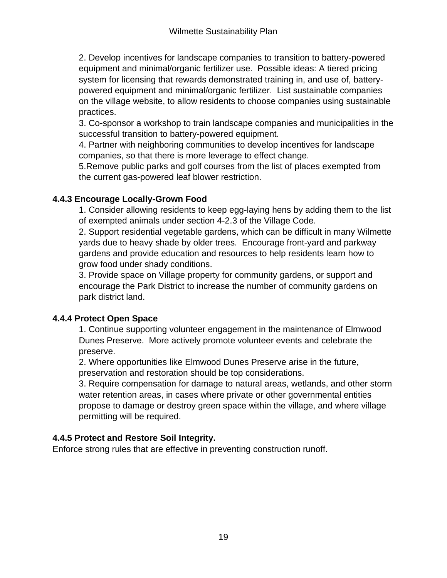2. Develop incentives for landscape companies to transition to battery-powered equipment and minimal/organic fertilizer use. Possible ideas: A tiered pricing system for licensing that rewards demonstrated training in, and use of, batterypowered equipment and minimal/organic fertilizer. List sustainable companies on the village website, to allow residents to choose companies using sustainable practices.

3. Co-sponsor a workshop to train landscape companies and municipalities in the successful transition to battery-powered equipment.

4. Partner with neighboring communities to develop incentives for landscape companies, so that there is more leverage to effect change.

5.Remove public parks and golf courses from the list of places exempted from the current gas-powered leaf blower restriction.

## **4.4.3 Encourage Locally-Grown Food**

1. Consider allowing residents to keep egg-laying hens by adding them to the list of exempted animals under section 4-2.3 of the Village Code.

2. Support residential vegetable gardens, which can be difficult in many Wilmette yards due to heavy shade by older trees. Encourage front-yard and parkway gardens and provide education and resources to help residents learn how to grow food under shady conditions.

3. Provide space on Village property for community gardens, or support and encourage the Park District to increase the number of community gardens on park district land.

# **4.4.4 Protect Open Space**

1. Continue supporting volunteer engagement in the maintenance of Elmwood Dunes Preserve. More actively promote volunteer events and celebrate the preserve.

2. Where opportunities like Elmwood Dunes Preserve arise in the future, preservation and restoration should be top considerations.

3. Require compensation for damage to natural areas, wetlands, and other storm water retention areas, in cases where private or other governmental entities propose to damage or destroy green space within the village, and where village permitting will be required.

# **4.4.5 Protect and Restore Soil Integrity.**

Enforce strong rules that are effective in preventing construction runoff.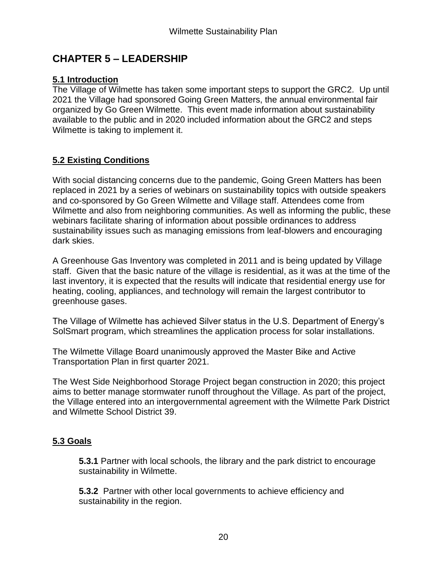# **CHAPTER 5 – LEADERSHIP**

## **5.1 Introduction**

The Village of Wilmette has taken some important steps to support the GRC2. Up until 2021 the Village had sponsored Going Green Matters, the annual environmental fair organized by Go Green Wilmette. This event made information about sustainability available to the public and in 2020 included information about the GRC2 and steps Wilmette is taking to implement it.

## **5.2 Existing Conditions**

With social distancing concerns due to the pandemic, Going Green Matters has been replaced in 2021 by a series of webinars on sustainability topics with outside speakers and co-sponsored by Go Green Wilmette and Village staff. Attendees come from Wilmette and also from neighboring communities. As well as informing the public, these webinars facilitate sharing of information about possible ordinances to address sustainability issues such as managing emissions from leaf-blowers and encouraging dark skies.

A Greenhouse Gas Inventory was completed in 2011 and is being updated by Village staff. Given that the basic nature of the village is residential, as it was at the time of the last inventory, it is expected that the results will indicate that residential energy use for heating, cooling, appliances, and technology will remain the largest contributor to greenhouse gases.

The Village of Wilmette has achieved Silver status in the U.S. Department of Energy's SolSmart program, which streamlines the application process for solar installations.

The Wilmette Village Board unanimously approved the Master Bike and Active Transportation Plan in first quarter 2021.

The West Side Neighborhood Storage Project began construction in 2020; this project aims to better manage stormwater runoff throughout the Village. As part of the project, the Village entered into an intergovernmental agreement with the Wilmette Park District and Wilmette School District 39.

# **5.3 Goals**

**5.3.1** Partner with local schools, the library and the park district to encourage sustainability in Wilmette.

**5.3.2** Partner with other local governments to achieve efficiency and sustainability in the region.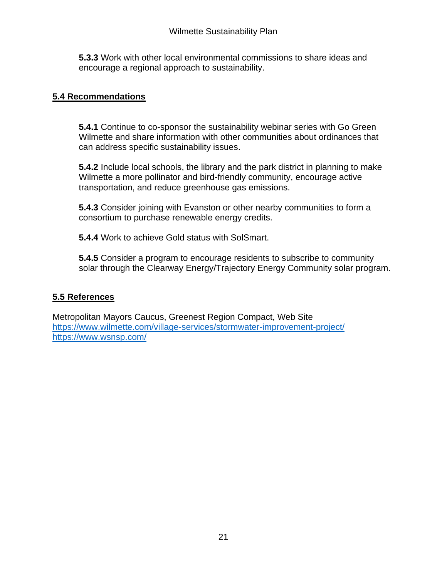**5.3.3** Work with other local environmental commissions to share ideas and encourage a regional approach to sustainability.

## **5.4 Recommendations**

**5.4.1** Continue to co-sponsor the sustainability webinar series with Go Green Wilmette and share information with other communities about ordinances that can address specific sustainability issues.

**5.4.2** Include local schools, the library and the park district in planning to make Wilmette a more pollinator and bird-friendly community, encourage active transportation, and reduce greenhouse gas emissions.

**5.4.3** Consider joining with Evanston or other nearby communities to form a consortium to purchase renewable energy credits.

**5.4.4** Work to achieve Gold status with SolSmart.

**5.4.5** Consider a program to encourage residents to subscribe to community solar through the Clearway Energy/Trajectory Energy Community solar program.

## **5.5 References**

Metropolitan Mayors Caucus, Greenest Region Compact, Web Site <https://www.wilmette.com/village-services/stormwater-improvement-project/> <https://www.wsnsp.com/>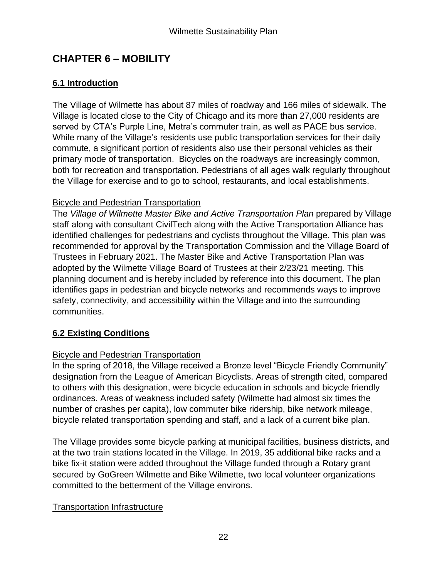# **CHAPTER 6 – MOBILITY**

# **6.1 Introduction**

The Village of Wilmette has about 87 miles of roadway and 166 miles of sidewalk. The Village is located close to the City of Chicago and its more than 27,000 residents are served by CTA's Purple Line, Metra's commuter train, as well as PACE bus service. While many of the Village's residents use public transportation services for their daily commute, a significant portion of residents also use their personal vehicles as their primary mode of transportation. Bicycles on the roadways are increasingly common, both for recreation and transportation. Pedestrians of all ages walk regularly throughout the Village for exercise and to go to school, restaurants, and local establishments.

## Bicycle and Pedestrian Transportation

The *Village of Wilmette Master Bike and Active Transportation Plan* prepared by Village staff along with consultant CivilTech along with the Active Transportation Alliance has identified challenges for pedestrians and cyclists throughout the Village. This plan was recommended for approval by the Transportation Commission and the Village Board of Trustees in February 2021. The Master Bike and Active Transportation Plan was adopted by the Wilmette Village Board of Trustees at their 2/23/21 meeting. This planning document and is hereby included by reference into this document. The plan identifies gaps in pedestrian and bicycle networks and recommends ways to improve safety, connectivity, and accessibility within the Village and into the surrounding communities.

# **6.2 Existing Conditions**

# Bicycle and Pedestrian Transportation

In the spring of 2018, the Village received a Bronze level "Bicycle Friendly Community" designation from the League of American Bicyclists. Areas of strength cited, compared to others with this designation, were bicycle education in schools and bicycle friendly ordinances. Areas of weakness included safety (Wilmette had almost six times the number of crashes per capita), low commuter bike ridership, bike network mileage, bicycle related transportation spending and staff, and a lack of a current bike plan.

The Village provides some bicycle parking at municipal facilities, business districts, and at the two train stations located in the Village. In 2019, 35 additional bike racks and a bike fix-it station were added throughout the Village funded through a Rotary grant secured by GoGreen Wilmette and Bike Wilmette, two local volunteer organizations committed to the betterment of the Village environs.

## Transportation Infrastructure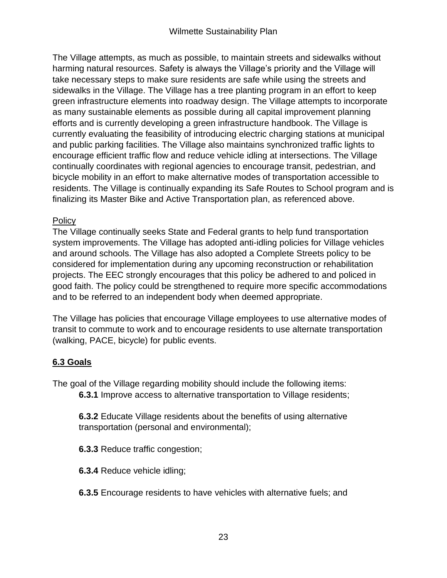The Village attempts, as much as possible, to maintain streets and sidewalks without harming natural resources. Safety is always the Village's priority and the Village will take necessary steps to make sure residents are safe while using the streets and sidewalks in the Village. The Village has a tree planting program in an effort to keep green infrastructure elements into roadway design. The Village attempts to incorporate as many sustainable elements as possible during all capital improvement planning efforts and is currently developing a green infrastructure handbook. The Village is currently evaluating the feasibility of introducing electric charging stations at municipal and public parking facilities. The Village also maintains synchronized traffic lights to encourage efficient traffic flow and reduce vehicle idling at intersections. The Village continually coordinates with regional agencies to encourage transit, pedestrian, and bicycle mobility in an effort to make alternative modes of transportation accessible to residents. The Village is continually expanding its Safe Routes to School program and is finalizing its Master Bike and Active Transportation plan, as referenced above.

## **Policy**

The Village continually seeks State and Federal grants to help fund transportation system improvements. The Village has adopted anti-idling policies for Village vehicles and around schools. The Village has also adopted a Complete Streets policy to be considered for implementation during any upcoming reconstruction or rehabilitation projects. The EEC strongly encourages that this policy be adhered to and policed in good faith. The policy could be strengthened to require more specific accommodations and to be referred to an independent body when deemed appropriate.

The Village has policies that encourage Village employees to use alternative modes of transit to commute to work and to encourage residents to use alternate transportation (walking, PACE, bicycle) for public events.

# **6.3 Goals**

The goal of the Village regarding mobility should include the following items:

**6.3.1** Improve access to alternative transportation to Village residents;

**6.3.2** Educate Village residents about the benefits of using alternative transportation (personal and environmental);

**6.3.3** Reduce traffic congestion;

**6.3.4** Reduce vehicle idling;

**6.3.5** Encourage residents to have vehicles with alternative fuels; and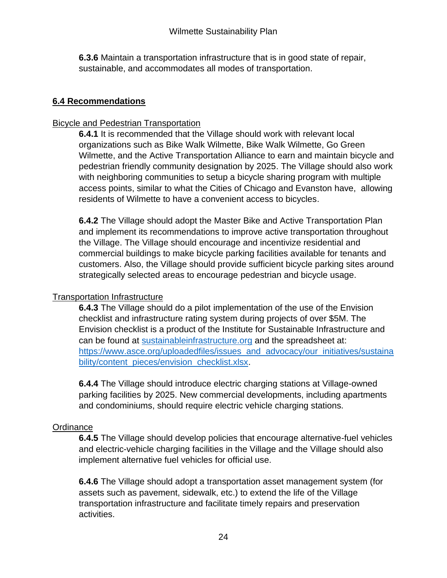**6.3.6** Maintain a transportation infrastructure that is in good state of repair, sustainable, and accommodates all modes of transportation.

## **6.4 Recommendations**

## Bicycle and Pedestrian Transportation

**6.4.1** It is recommended that the Village should work with relevant local organizations such as Bike Walk Wilmette, Bike Walk Wilmette, Go Green Wilmette, and the Active Transportation Alliance to earn and maintain bicycle and pedestrian friendly community designation by 2025. The Village should also work with neighboring communities to setup a bicycle sharing program with multiple access points, similar to what the Cities of Chicago and Evanston have, allowing residents of Wilmette to have a convenient access to bicycles.

**6.4.2** The Village should adopt the Master Bike and Active Transportation Plan and implement its recommendations to improve active transportation throughout the Village. The Village should encourage and incentivize residential and commercial buildings to make bicycle parking facilities available for tenants and customers. Also, the Village should provide sufficient bicycle parking sites around strategically selected areas to encourage pedestrian and bicycle usage.

# Transportation Infrastructure

**6.4.3** The Village should do a pilot implementation of the use of the Envision checklist and infrastructure rating system during projects of over \$5M. The Envision checklist is a product of the Institute for Sustainable Infrastructure and can be found at [sustainableinfrastructure.org](file://///vowfile/vhdata/Common/EE%20Commission/1.%20Wilmette%20Sustainability%20Plan/sustainableinfrastructure.org) and the spreadsheet at: [https://www.asce.org/uploadedfiles/issues\\_and\\_advocacy/our\\_initiatives/sustaina](https://www.asce.org/uploadedfiles/issues_and_advocacy/our_initiatives/sustainability/content_pieces/envision_checklist.xlsx) [bility/content\\_pieces/envision\\_checklist.xlsx.](https://www.asce.org/uploadedfiles/issues_and_advocacy/our_initiatives/sustainability/content_pieces/envision_checklist.xlsx)

**6.4.4** The Village should introduce electric charging stations at Village-owned parking facilities by 2025. New commercial developments, including apartments and condominiums, should require electric vehicle charging stations.

# **Ordinance**

**6.4.5** The Village should develop policies that encourage alternative-fuel vehicles and electric-vehicle charging facilities in the Village and the Village should also implement alternative fuel vehicles for official use.

**6.4.6** The Village should adopt a transportation asset management system (for assets such as pavement, sidewalk, etc.) to extend the life of the Village transportation infrastructure and facilitate timely repairs and preservation activities.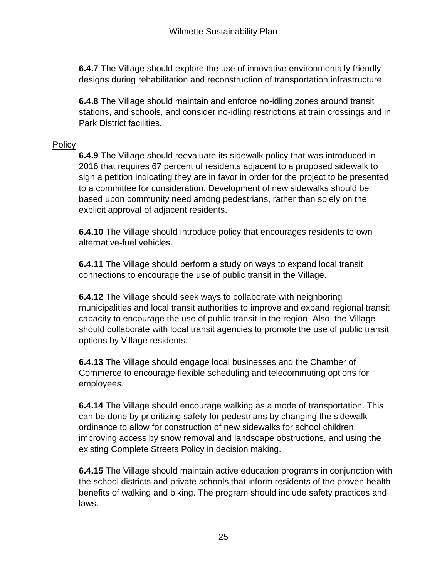**6.4.7** The Village should explore the use of innovative environmentally friendly designs during rehabilitation and reconstruction of transportation infrastructure.

**6.4.8** The Village should maintain and enforce no-idling zones around transit stations, and schools, and consider no-idling restrictions at train crossings and in Park District facilities.

#### **Policy**

**6.4.9** The Village should reevaluate its sidewalk policy that was introduced in 2016 that requires 67 percent of residents adjacent to a proposed sidewalk to sign a petition indicating they are in favor in order for the project to be presented to a committee for consideration. Development of new sidewalks should be based upon community need among pedestrians, rather than solely on the explicit approval of adjacent residents.

**6.4.10** The Village should introduce policy that encourages residents to own alternative-fuel vehicles.

**6.4.11** The Village should perform a study on ways to expand local transit connections to encourage the use of public transit in the Village.

**6.4.12** The Village should seek ways to collaborate with neighboring municipalities and local transit authorities to improve and expand regional transit capacity to encourage the use of public transit in the region. Also, the Village should collaborate with local transit agencies to promote the use of public transit options by Village residents.

**6.4.13** The Village should engage local businesses and the Chamber of Commerce to encourage flexible scheduling and telecommuting options for employees.

**6.4.14** The Village should encourage walking as a mode of transportation. This can be done by prioritizing safety for pedestrians by changing the sidewalk ordinance to allow for construction of new sidewalks for school children, improving access by snow removal and landscape obstructions, and using the existing Complete Streets Policy in decision making.

**6.4.15** The Village should maintain active education programs in conjunction with the school districts and private schools that inform residents of the proven health benefits of walking and biking. The program should include safety practices and laws.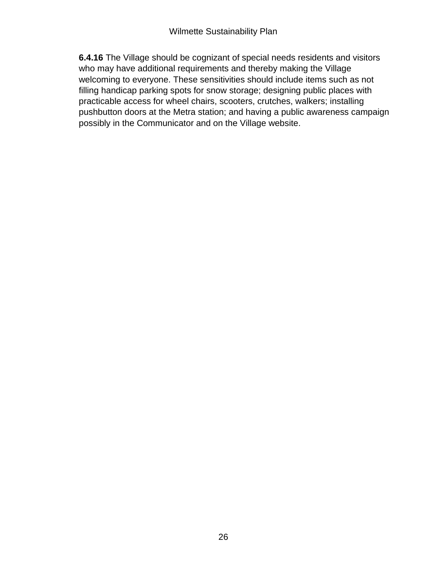**6.4.16** The Village should be cognizant of special needs residents and visitors who may have additional requirements and thereby making the Village welcoming to everyone. These sensitivities should include items such as not filling handicap parking spots for snow storage; designing public places with practicable access for wheel chairs, scooters, crutches, walkers; installing pushbutton doors at the Metra station; and having a public awareness campaign possibly in the Communicator and on the Village website.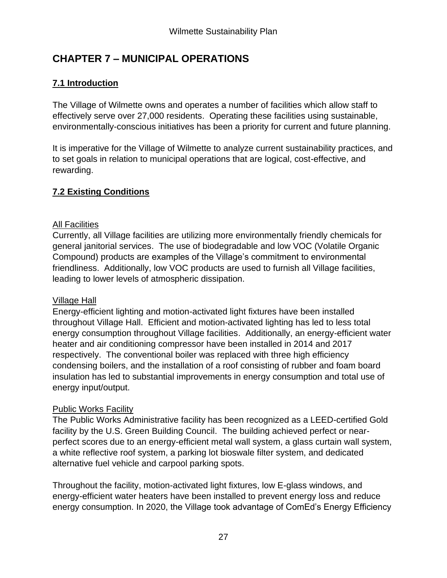# **CHAPTER 7 – MUNICIPAL OPERATIONS**

# **7.1 Introduction**

The Village of Wilmette owns and operates a number of facilities which allow staff to effectively serve over 27,000 residents. Operating these facilities using sustainable, environmentally-conscious initiatives has been a priority for current and future planning.

It is imperative for the Village of Wilmette to analyze current sustainability practices, and to set goals in relation to municipal operations that are logical, cost-effective, and rewarding.

# **7.2 Existing Conditions**

## All Facilities

Currently, all Village facilities are utilizing more environmentally friendly chemicals for general janitorial services. The use of biodegradable and low VOC (Volatile Organic Compound) products are examples of the Village's commitment to environmental friendliness. Additionally, low VOC products are used to furnish all Village facilities, leading to lower levels of atmospheric dissipation.

## Village Hall

Energy-efficient lighting and motion-activated light fixtures have been installed throughout Village Hall. Efficient and motion-activated lighting has led to less total energy consumption throughout Village facilities. Additionally, an energy-efficient water heater and air conditioning compressor have been installed in 2014 and 2017 respectively. The conventional boiler was replaced with three high efficiency condensing boilers, and the installation of a roof consisting of rubber and foam board insulation has led to substantial improvements in energy consumption and total use of energy input/output.

# Public Works Facility

The Public Works Administrative facility has been recognized as a LEED-certified Gold facility by the U.S. Green Building Council. The building achieved perfect or nearperfect scores due to an energy-efficient metal wall system, a glass curtain wall system, a white reflective roof system, a parking lot bioswale filter system, and dedicated alternative fuel vehicle and carpool parking spots.

Throughout the facility, motion-activated light fixtures, low E-glass windows, and energy-efficient water heaters have been installed to prevent energy loss and reduce energy consumption. In 2020, the Village took advantage of ComEd's Energy Efficiency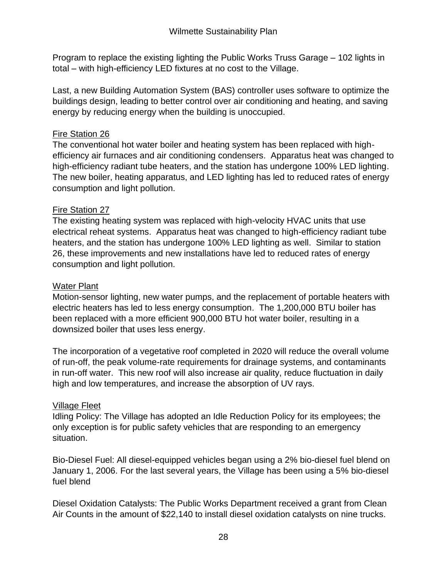Program to replace the existing lighting the Public Works Truss Garage – 102 lights in total – with high-efficiency LED fixtures at no cost to the Village.

Last, a new Building Automation System (BAS) controller uses software to optimize the buildings design, leading to better control over air conditioning and heating, and saving energy by reducing energy when the building is unoccupied.

## Fire Station 26

The conventional hot water boiler and heating system has been replaced with highefficiency air furnaces and air conditioning condensers. Apparatus heat was changed to high-efficiency radiant tube heaters, and the station has undergone 100% LED lighting. The new boiler, heating apparatus, and LED lighting has led to reduced rates of energy consumption and light pollution.

# Fire Station 27

The existing heating system was replaced with high-velocity HVAC units that use electrical reheat systems. Apparatus heat was changed to high-efficiency radiant tube heaters, and the station has undergone 100% LED lighting as well. Similar to station 26, these improvements and new installations have led to reduced rates of energy consumption and light pollution.

## Water Plant

Motion-sensor lighting, new water pumps, and the replacement of portable heaters with electric heaters has led to less energy consumption. The 1,200,000 BTU boiler has been replaced with a more efficient 900,000 BTU hot water boiler, resulting in a downsized boiler that uses less energy.

The incorporation of a vegetative roof completed in 2020 will reduce the overall volume of run-off, the peak volume-rate requirements for drainage systems, and contaminants in run-off water. This new roof will also increase air quality, reduce fluctuation in daily high and low temperatures, and increase the absorption of UV rays.

# Village Fleet

Idling Policy: The Village has adopted an Idle Reduction Policy for its employees; the only exception is for public safety vehicles that are responding to an emergency situation.

Bio-Diesel Fuel: All diesel-equipped vehicles began using a 2% bio-diesel fuel blend on January 1, 2006. For the last several years, the Village has been using a 5% bio-diesel fuel blend

Diesel Oxidation Catalysts: The Public Works Department received a grant from Clean Air Counts in the amount of \$22,140 to install diesel oxidation catalysts on nine trucks.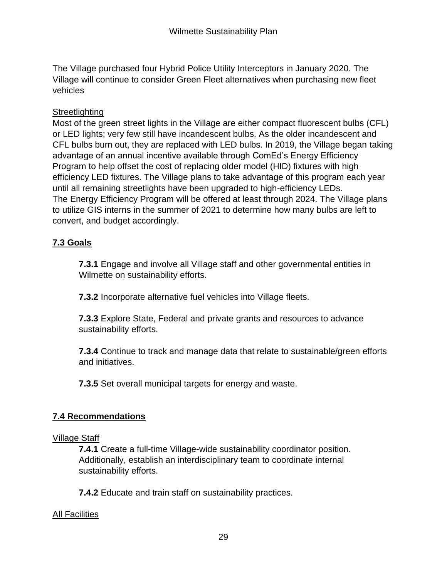The Village purchased four Hybrid Police Utility Interceptors in January 2020. The Village will continue to consider Green Fleet alternatives when purchasing new fleet vehicles

## **Streetlighting**

Most of the green street lights in the Village are either compact fluorescent bulbs (CFL) or LED lights; very few still have incandescent bulbs. As the older incandescent and CFL bulbs burn out, they are replaced with LED bulbs. In 2019, the Village began taking advantage of an annual incentive available through ComEd's Energy Efficiency Program to help offset the cost of replacing older model (HID) fixtures with high efficiency LED fixtures. The Village plans to take advantage of this program each year until all remaining streetlights have been upgraded to high-efficiency LEDs. The Energy Efficiency Program will be offered at least through 2024. The Village plans to utilize GIS interns in the summer of 2021 to determine how many bulbs are left to convert, and budget accordingly.

# **7.3 Goals**

**7.3.1** Engage and involve all Village staff and other governmental entities in Wilmette on sustainability efforts.

**7.3.2** Incorporate alternative fuel vehicles into Village fleets.

**7.3.3** Explore State, Federal and private grants and resources to advance sustainability efforts.

**7.3.4** Continue to track and manage data that relate to sustainable/green efforts and initiatives.

**7.3.5** Set overall municipal targets for energy and waste.

## **7.4 Recommendations**

#### Village Staff

**7.4.1** Create a full-time Village-wide sustainability coordinator position. Additionally, establish an interdisciplinary team to coordinate internal sustainability efforts.

**7.4.2** Educate and train staff on sustainability practices.

## All Facilities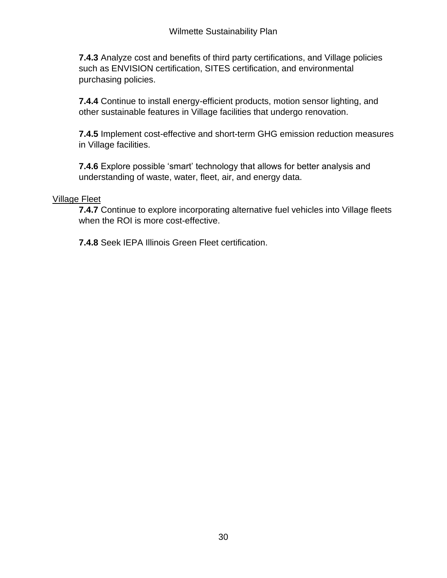**7.4.3** Analyze cost and benefits of third party certifications, and Village policies such as ENVISION certification, SITES certification, and environmental purchasing policies.

**7.4.4** Continue to install energy-efficient products, motion sensor lighting, and other sustainable features in Village facilities that undergo renovation.

**7.4.5** Implement cost-effective and short-term GHG emission reduction measures in Village facilities.

**7.4.6** Explore possible 'smart' technology that allows for better analysis and understanding of waste, water, fleet, air, and energy data.

## Village Fleet

**7.4.7** Continue to explore incorporating alternative fuel vehicles into Village fleets when the ROI is more cost-effective.

**7.4.8** Seek IEPA Illinois Green Fleet certification.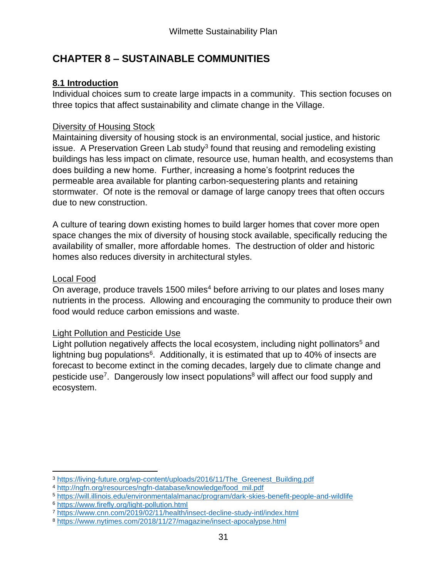# **CHAPTER 8 – SUSTAINABLE COMMUNITIES**

# **8.1 Introduction**

Individual choices sum to create large impacts in a community. This section focuses on three topics that affect sustainability and climate change in the Village.

# Diversity of Housing Stock

Maintaining diversity of housing stock is an environmental, social justice, and historic issue. A Preservation Green Lab study<sup>3</sup> found that reusing and remodeling existing buildings has less impact on climate, resource use, human health, and ecosystems than does building a new home. Further, increasing a home's footprint reduces the permeable area available for planting carbon-sequestering plants and retaining stormwater. Of note is the removal or damage of large canopy trees that often occurs due to new construction.

A culture of tearing down existing homes to build larger homes that cover more open space changes the mix of diversity of housing stock available, specifically reducing the availability of smaller, more affordable homes. The destruction of older and historic homes also reduces diversity in architectural styles.

# Local Food

On average, produce travels 1500 miles<sup>4</sup> before arriving to our plates and loses many nutrients in the process. Allowing and encouraging the community to produce their own food would reduce carbon emissions and waste.

# Light Pollution and Pesticide Use

Light pollution negatively affects the local ecosystem, including night pollinators<sup>5</sup> and lightning bug populations<sup>6</sup>. Additionally, it is estimated that up to 40% of insects are forecast to become extinct in the coming decades, largely due to climate change and pesticide use<sup>7</sup>. Dangerously low insect populations<sup>8</sup> will affect our food supply and ecosystem.

<sup>3</sup> [https://living-future.org/wp-content/uploads/2016/11/The\\_Greenest\\_Building.pdf](https://living-future.org/wp-content/uploads/2016/11/The_Greenest_Building.pdf)

<sup>4</sup> [http://ngfn.org/resources/ngfn-database/knowledge/food\\_mil.pdf](http://ngfn.org/resources/ngfn-database/knowledge/food_mil.pdf)

<sup>5</sup> <https://will.illinois.edu/environmentalalmanac/program/dark-skies-benefit-people-and-wildlife>

<sup>6</sup> <https://www.firefly.org/light-pollution.html>

<sup>7</sup> <https://www.cnn.com/2019/02/11/health/insect-decline-study-intl/index.html>

<sup>8</sup> <https://www.nytimes.com/2018/11/27/magazine/insect-apocalypse.html>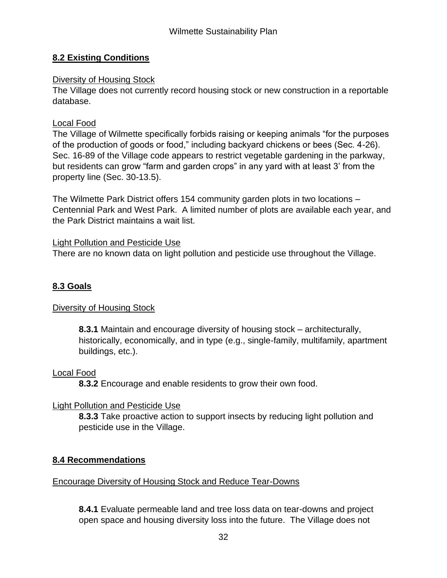## **8.2 Existing Conditions**

## Diversity of Housing Stock

The Village does not currently record housing stock or new construction in a reportable database.

#### Local Food

The Village of Wilmette specifically forbids raising or keeping animals "for the purposes of the production of goods or food," including backyard chickens or bees (Sec. 4-26). Sec. 16-89 of the Village code appears to restrict vegetable gardening in the parkway, but residents can grow "farm and garden crops" in any yard with at least 3' from the property line (Sec. 30-13.5).

The Wilmette Park District offers 154 community garden plots in two locations – Centennial Park and West Park. A limited number of plots are available each year, and the Park District maintains a wait list.

#### Light Pollution and Pesticide Use

There are no known data on light pollution and pesticide use throughout the Village.

## **8.3 Goals**

## Diversity of Housing Stock

**8.3.1** Maintain and encourage diversity of housing stock – architecturally, historically, economically, and in type (e.g., single-family, multifamily, apartment buildings, etc.).

## Local Food

**8.3.2** Encourage and enable residents to grow their own food.

## Light Pollution and Pesticide Use

**8.3.3** Take proactive action to support insects by reducing light pollution and pesticide use in the Village.

## **8.4 Recommendations**

#### Encourage Diversity of Housing Stock and Reduce Tear-Downs

**8.4.1** Evaluate permeable land and tree loss data on tear-downs and project open space and housing diversity loss into the future. The Village does not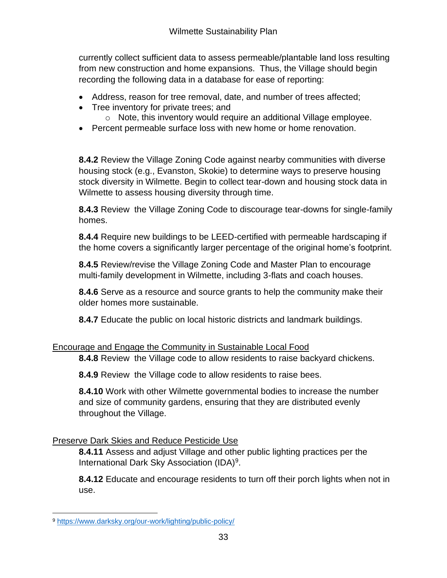currently collect sufficient data to assess permeable/plantable land loss resulting from new construction and home expansions. Thus, the Village should begin recording the following data in a database for ease of reporting:

- Address, reason for tree removal, date, and number of trees affected;
- Tree inventory for private trees: and
	- o Note, this inventory would require an additional Village employee.
- Percent permeable surface loss with new home or home renovation.

**8.4.2** Review the Village Zoning Code against nearby communities with diverse housing stock (e.g., Evanston, Skokie) to determine ways to preserve housing stock diversity in Wilmette. Begin to collect tear-down and housing stock data in Wilmette to assess housing diversity through time.

**8.4.3** Review the Village Zoning Code to discourage tear-downs for single-family homes.

**8.4.4** Require new buildings to be LEED-certified with permeable hardscaping if the home covers a significantly larger percentage of the original home's footprint.

**8.4.5** Review/revise the Village Zoning Code and Master Plan to encourage multi-family development in Wilmette, including 3-flats and coach houses.

**8.4.6** Serve as a resource and source grants to help the community make their older homes more sustainable.

**8.4.7** Educate the public on local historic districts and landmark buildings.

# Encourage and Engage the Community in Sustainable Local Food

**8.4.8** Review the Village code to allow residents to raise backyard chickens.

**8.4.9** Review the Village code to allow residents to raise bees.

**8.4.10** Work with other Wilmette governmental bodies to increase the number and size of community gardens, ensuring that they are distributed evenly throughout the Village.

# Preserve Dark Skies and Reduce Pesticide Use

**8.4.11** Assess and adjust Village and other public lighting practices per the International Dark Sky Association (IDA)<sup>9</sup>.

**8.4.12** Educate and encourage residents to turn off their porch lights when not in use.

<sup>9</sup> <https://www.darksky.org/our-work/lighting/public-policy/>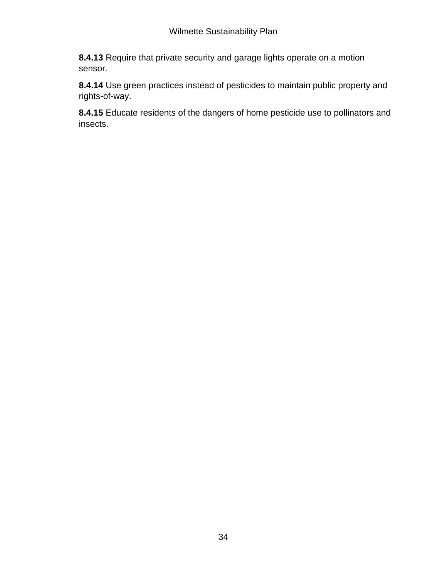**8.4.13** Require that private security and garage lights operate on a motion sensor.

**8.4.14** Use green practices instead of pesticides to maintain public property and rights-of-way.

**8.4.15** Educate residents of the dangers of home pesticide use to pollinators and insects.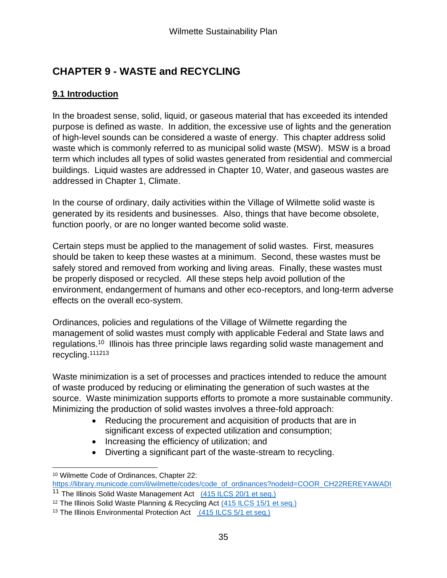# **CHAPTER 9 - WASTE and RECYCLING**

# **9.1 Introduction**

In the broadest sense, solid, liquid, or gaseous material that has exceeded its intended purpose is defined as waste. In addition, the excessive use of lights and the generation of high-level sounds can be considered a waste of energy. This chapter address solid waste which is commonly referred to as municipal solid waste (MSW). MSW is a broad term which includes all types of solid wastes generated from residential and commercial buildings. Liquid wastes are addressed in Chapter 10, Water, and gaseous wastes are addressed in Chapter 1, Climate.

In the course of ordinary, daily activities within the Village of Wilmette solid waste is generated by its residents and businesses. Also, things that have become obsolete, function poorly, or are no longer wanted become solid waste.

Certain steps must be applied to the management of solid wastes. First, measures should be taken to keep these wastes at a minimum. Second, these wastes must be safely stored and removed from working and living areas. Finally, these wastes must be properly disposed or recycled. All these steps help avoid pollution of the environment, endangerment of humans and other eco-receptors, and long-term adverse effects on the overall eco-system.

Ordinances, policies and regulations of the Village of Wilmette regarding the management of solid wastes must comply with applicable Federal and State laws and regulations.<sup>10</sup> Illinois has three principle laws regarding solid waste management and recycling.<sup>111213</sup>

Waste minimization is a set of processes and practices intended to reduce the amount of waste produced by reducing or eliminating the generation of such wastes at the source. Waste minimization supports efforts to promote a more sustainable community. Minimizing the production of solid wastes involves a three-fold approach:

- Reducing the procurement and acquisition of products that are in significant excess of expected utilization and consumption;
- Increasing the efficiency of utilization; and
- Diverting a significant part of the waste-stream to recycling.

<sup>10</sup> Wilmette Code of Ordinances, Chapter 22:

[https://library.municode.com/il/wilmette/codes/code\\_of\\_ordinances?nodeId=COOR\\_CH22REREYAWADI](https://library.municode.com/il/wilmette/codes/code_of_ordinances?nodeId=COOR_CH22REREYAWADI)

<sup>&</sup>lt;sup>11</sup> The Illinois Solid Waste Management Act [\(415 ILCS 20/1 et seq.\)](http://www.ilga.gov/legislation/ilcs/ilcs3.asp?ActID=1588&ChapterID=36)

<sup>&</sup>lt;sup>12</sup> The Illinois Solid Waste Planning & Recycling Act [\(415 ILCS 15/1 et seq.\)](http://www.ilga.gov/legislation/ilcs/ilcs3.asp?ActID=1587&ChapterID=36)

<sup>&</sup>lt;sup>13</sup> The Illinois Environmental Protection Act [\(415 ILCS 5/1 et seq.\)](http://www.ilga.gov/legislation/ilcs/ilcs3.asp?ActID=1585&ChapterID=36)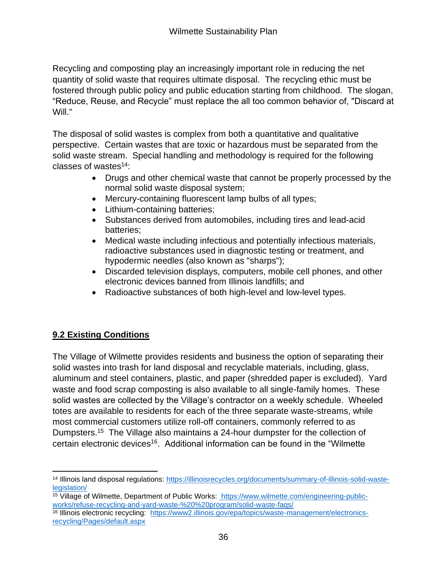Recycling and composting play an increasingly important role in reducing the net quantity of solid waste that requires ultimate disposal. The recycling ethic must be fostered through public policy and public education starting from childhood. The slogan, "Reduce, Reuse, and Recycle" must replace the all too common behavior of, "Discard at Will."

The disposal of solid wastes is complex from both a quantitative and qualitative perspective. Certain wastes that are toxic or hazardous must be separated from the solid waste stream. Special handling and methodology is required for the following classes of wastes<sup>14</sup>:

- Drugs and other chemical waste that cannot be properly processed by the normal solid waste disposal system;
- Mercury-containing fluorescent lamp bulbs of all types;
- Lithium-containing batteries;
- Substances derived from automobiles, including tires and lead-acid batteries;
- Medical waste including infectious and potentially infectious materials, radioactive substances used in diagnostic testing or treatment, and hypodermic needles (also known as "sharps");
- Discarded television displays, computers, mobile cell phones, and other electronic devices banned from Illinois landfills; and
- Radioactive substances of both high-level and low-level types.

# **9.2 Existing Conditions**

The Village of Wilmette provides residents and business the option of separating their solid wastes into trash for land disposal and recyclable materials, including, glass, aluminum and steel containers, plastic, and paper (shredded paper is excluded). Yard waste and food scrap composting is also available to all single-family homes. These solid wastes are collected by the Village's contractor on a weekly schedule. Wheeled totes are available to residents for each of the three separate waste-streams, while most commercial customers utilize roll-off containers, commonly referred to as Dumpsters.<sup>15</sup> The Village also maintains a 24-hour dumpster for the collection of certain electronic devices<sup>16</sup>. Additional information can be found in the "Wilmette"

<sup>14</sup> Illinois land disposal regulations: [https://illinoisrecycles.org/documents/summary-of-illinois-solid-waste](https://illinoisrecycles.org/documents/summary-of-illinois-solid-waste-legislation/)[legislation/](https://illinoisrecycles.org/documents/summary-of-illinois-solid-waste-legislation/)

<sup>15</sup> Village of Wilmette, Department of Public Works: [https://www.wilmette.com/engineering-public](file:///C:/Users/arteagaa/AppData/Local/Microsoft/Windows/INetCache/Content.Outlook/R3GZ7FD9/%20https:/www.wilmette.com/engineering-public-works/refuse-recycling-and-yard-waste-%20%20program/solid-waste-faqs/)[works/refuse-recycling-and-yard-waste-%20%20program/solid-waste-faqs/](file:///C:/Users/arteagaa/AppData/Local/Microsoft/Windows/INetCache/Content.Outlook/R3GZ7FD9/%20https:/www.wilmette.com/engineering-public-works/refuse-recycling-and-yard-waste-%20%20program/solid-waste-faqs/)

<sup>16</sup> Illinois electronic recycling: [https://www2.illinois.gov/epa/topics/waste-management/electronics](https://www2.illinois.gov/epa/topics/waste-management/electronics-recycling/Pages/default.aspx)[recycling/Pages/default.aspx](https://www2.illinois.gov/epa/topics/waste-management/electronics-recycling/Pages/default.aspx)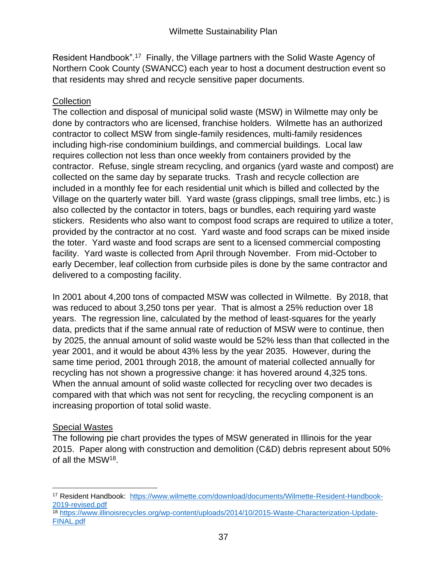Resident Handbook".<sup>17</sup> Finally, the Village partners with the Solid Waste Agency of Northern Cook County (SWANCC) each year to host a document destruction event so that residents may shred and recycle sensitive paper documents.

## **Collection**

The collection and disposal of municipal solid waste (MSW) in Wilmette may only be done by contractors who are licensed, franchise holders. Wilmette has an authorized contractor to collect MSW from single-family residences, multi-family residences including high-rise condominium buildings, and commercial buildings. Local law requires collection not less than once weekly from containers provided by the contractor. Refuse, single stream recycling, and organics (yard waste and compost) are collected on the same day by separate trucks. Trash and recycle collection are included in a monthly fee for each residential unit which is billed and collected by the Village on the quarterly water bill. Yard waste (grass clippings, small tree limbs, etc.) is also collected by the contactor in toters, bags or bundles, each requiring yard waste stickers. Residents who also want to compost food scraps are required to utilize a toter, provided by the contractor at no cost. Yard waste and food scraps can be mixed inside the toter. Yard waste and food scraps are sent to a licensed commercial composting facility. Yard waste is collected from April through November. From mid-October to early December, leaf collection from curbside piles is done by the same contractor and delivered to a composting facility.

In 2001 about 4,200 tons of compacted MSW was collected in Wilmette. By 2018, that was reduced to about 3,250 tons per year. That is almost a 25% reduction over 18 years. The regression line, calculated by the method of least-squares for the yearly data, predicts that if the same annual rate of reduction of MSW were to continue, then by 2025, the annual amount of solid waste would be 52% less than that collected in the year 2001, and it would be about 43% less by the year 2035. However, during the same time period, 2001 through 2018, the amount of material collected annually for recycling has not shown a progressive change: it has hovered around 4,325 tons. When the annual amount of solid waste collected for recycling over two decades is compared with that which was not sent for recycling, the recycling component is an increasing proportion of total solid waste.

# Special Wastes

The following pie chart provides the types of MSW generated in Illinois for the year 2015. Paper along with construction and demolition (C&D) debris represent about 50% of all the MSW<sup>18</sup>.

<sup>18</sup> [https://www.illinoisrecycles.org/wp-content/uploads/2014/10/2015-Waste-Characterization-Update-](https://www.illinoisrecycles.org/wp-content/uploads/2014/10/2015-Waste-Characterization-Update-FINAL.pdf)[FINAL.pdf](https://www.illinoisrecycles.org/wp-content/uploads/2014/10/2015-Waste-Characterization-Update-FINAL.pdf)

<sup>17</sup> Resident Handbook: [https://www.wilmette.com/download/documents/Wilmette-Resident-Handbook-](https://www.wilmette.com/download/documents/Wilmette-Resident-Handbook-2019-revised.pdf)[2019-revised.pdf](https://www.wilmette.com/download/documents/Wilmette-Resident-Handbook-2019-revised.pdf)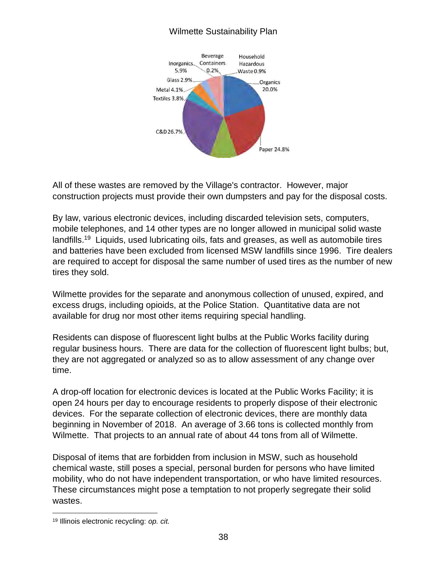## Wilmette Sustainability Plan



All of these wastes are removed by the Village's contractor. However, major construction projects must provide their own dumpsters and pay for the disposal costs.

By law, various electronic devices, including discarded television sets, computers, mobile telephones, and 14 other types are no longer allowed in municipal solid waste landfills.<sup>19</sup> Liquids, used lubricating oils, fats and greases, as well as automobile tires and batteries have been excluded from licensed MSW landfills since 1996. Tire dealers are required to accept for disposal the same number of used tires as the number of new tires they sold.

Wilmette provides for the separate and anonymous collection of unused, expired, and excess drugs, including opioids, at the Police Station. Quantitative data are not available for drug nor most other items requiring special handling.

Residents can dispose of fluorescent light bulbs at the Public Works facility during regular business hours. There are data for the collection of fluorescent light bulbs; but, they are not aggregated or analyzed so as to allow assessment of any change over time.

A drop-off location for electronic devices is located at the Public Works Facility; it is open 24 hours per day to encourage residents to properly dispose of their electronic devices. For the separate collection of electronic devices, there are monthly data beginning in November of 2018. An average of 3.66 tons is collected monthly from Wilmette. That projects to an annual rate of about 44 tons from all of Wilmette.

Disposal of items that are forbidden from inclusion in MSW, such as household chemical waste, still poses a special, personal burden for persons who have limited mobility, who do not have independent transportation, or who have limited resources. These circumstances might pose a temptation to not properly segregate their solid wastes.

<sup>19</sup> Illinois electronic recycling: *op. cit.*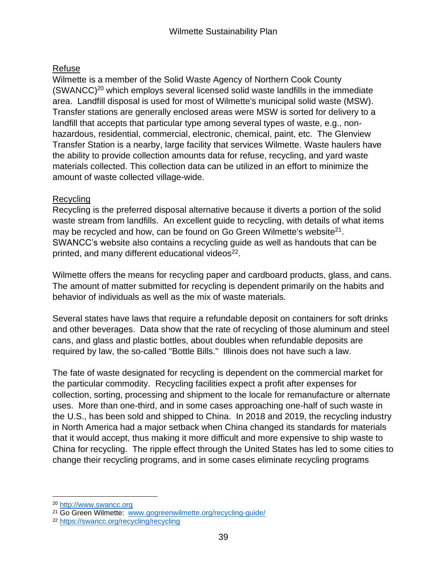## Refuse

Wilmette is a member of the Solid Waste Agency of Northern Cook County  $(SWANCE)^{20}$  which employs several licensed solid waste landfills in the immediate area. Landfill disposal is used for most of Wilmette's municipal solid waste (MSW). Transfer stations are generally enclosed areas were MSW is sorted for delivery to a landfill that accepts that particular type among several types of waste, e.g., nonhazardous, residential, commercial, electronic, chemical, paint, etc. The Glenview Transfer Station is a nearby, large facility that services Wilmette. Waste haulers have the ability to provide collection amounts data for refuse, recycling, and yard waste materials collected. This collection data can be utilized in an effort to minimize the amount of waste collected village-wide.

## Recycling

Recycling is the preferred disposal alternative because it diverts a portion of the solid waste stream from landfills. An excellent guide to recycling, with details of what items may be recycled and how, can be found on Go Green Wilmette's website<sup>21</sup>. SWANCC's website also contains a recycling guide as well as handouts that can be printed, and many different educational videos<sup>22</sup>.

Wilmette offers the means for recycling paper and cardboard products, glass, and cans. The amount of matter submitted for recycling is dependent primarily on the habits and behavior of individuals as well as the mix of waste materials.

Several states have laws that require a refundable deposit on containers for soft drinks and other beverages. Data show that the rate of recycling of those aluminum and steel cans, and glass and plastic bottles, about doubles when refundable deposits are required by law, the so-called "Bottle Bills." Illinois does not have such a law.

The fate of waste designated for recycling is dependent on the commercial market for the particular commodity. Recycling facilities expect a profit after expenses for collection, sorting, processing and shipment to the locale for remanufacture or alternate uses. More than one-third, and in some cases approaching one-half of such waste in the U.S., has been sold and shipped to China. In 2018 and 2019, the recycling industry in North America had a major setback when China changed its standards for materials that it would accept, thus making it more difficult and more expensive to ship waste to China for recycling. The ripple effect through the United States has led to some cities to change their recycling programs, and in some cases eliminate recycling programs

<sup>20</sup> [http://www.swancc.org](http://www.swancc.org/)

<sup>21</sup> Go Green Wilmette: [www.gogreenwilmette.org/recycling-guide/](http://www.gogreenwilmette.org/recycling-guide/)

<sup>22</sup> <https://swancc.org/recycling/recycling>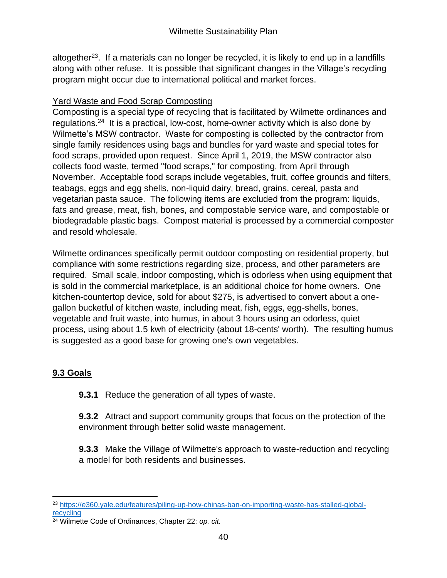altogether<sup>23</sup>. If a materials can no longer be recycled, it is likely to end up in a landfills along with other refuse. It is possible that significant changes in the Village's recycling program might occur due to international political and market forces.

# Yard Waste and Food Scrap Composting

Composting is a special type of recycling that is facilitated by Wilmette ordinances and regulations.<sup>24</sup> It is a practical, low-cost, home-owner activity which is also done by Wilmette's MSW contractor. Waste for composting is collected by the contractor from single family residences using bags and bundles for yard waste and special totes for food scraps, provided upon request. Since April 1, 2019, the MSW contractor also collects food waste, termed "food scraps," for composting, from April through November. Acceptable food scraps include vegetables, fruit, coffee grounds and filters, teabags, eggs and egg shells, non-liquid dairy, bread, grains, cereal, pasta and vegetarian pasta sauce. The following items are excluded from the program: liquids, fats and grease, meat, fish, bones, and compostable service ware, and compostable or biodegradable plastic bags. Compost material is processed by a commercial composter and resold wholesale.

Wilmette ordinances specifically permit outdoor composting on residential property, but compliance with some restrictions regarding size, process, and other parameters are required. Small scale, indoor composting, which is odorless when using equipment that is sold in the commercial marketplace, is an additional choice for home owners. One kitchen-countertop device, sold for about \$275, is advertised to convert about a onegallon bucketful of kitchen waste, including meat, fish, eggs, egg-shells, bones, vegetable and fruit waste, into humus, in about 3 hours using an odorless, quiet process, using about 1.5 kwh of electricity (about 18-cents' worth). The resulting humus is suggested as a good base for growing one's own vegetables.

# **9.3 Goals**

**9.3.1** Reduce the generation of all types of waste.

**9.3.2** Attract and support community groups that focus on the protection of the environment through better solid waste management.

**9.3.3** Make the Village of Wilmette's approach to waste-reduction and recycling a model for both residents and businesses.

<sup>23</sup> [https://e360.yale.edu/features/piling-up-how-chinas-ban-on-importing-waste-has-stalled-global](https://e360.yale.edu/features/piling-up-how-chinas-ban-on-importing-waste-has-stalled-global-recycling)[recycling](https://e360.yale.edu/features/piling-up-how-chinas-ban-on-importing-waste-has-stalled-global-recycling)

<sup>24</sup> Wilmette Code of Ordinances, Chapter 22: *op. cit.*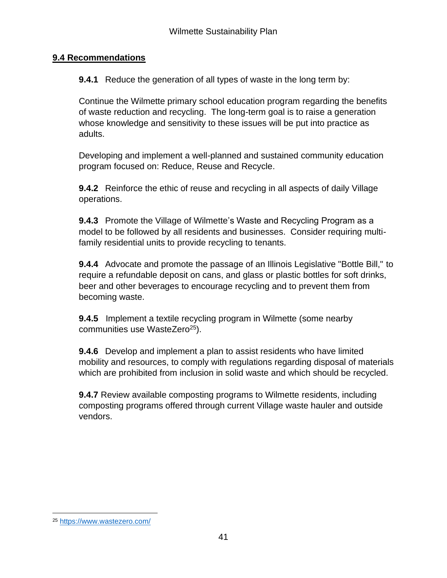## **9.4 Recommendations**

**9.4.1** Reduce the generation of all types of waste in the long term by:

Continue the Wilmette primary school education program regarding the benefits of waste reduction and recycling. The long-term goal is to raise a generation whose knowledge and sensitivity to these issues will be put into practice as adults.

Developing and implement a well-planned and sustained community education program focused on: Reduce, Reuse and Recycle.

**9.4.2** Reinforce the ethic of reuse and recycling in all aspects of daily Village operations.

**9.4.3** Promote the Village of Wilmette's Waste and Recycling Program as a model to be followed by all residents and businesses. Consider requiring multifamily residential units to provide recycling to tenants.

**9.4.4** Advocate and promote the passage of an Illinois Legislative "Bottle Bill," to require a refundable deposit on cans, and glass or plastic bottles for soft drinks, beer and other beverages to encourage recycling and to prevent them from becoming waste.

**9.4.5** Implement a textile recycling program in Wilmette (some nearby communities use WasteZero<sup>25</sup>).

**9.4.6** Develop and implement a plan to assist residents who have limited mobility and resources, to comply with regulations regarding disposal of materials which are prohibited from inclusion in solid waste and which should be recycled.

**9.4.7** Review available composting programs to Wilmette residents, including composting programs offered through current Village waste hauler and outside vendors.

<sup>25</sup> <https://www.wastezero.com/>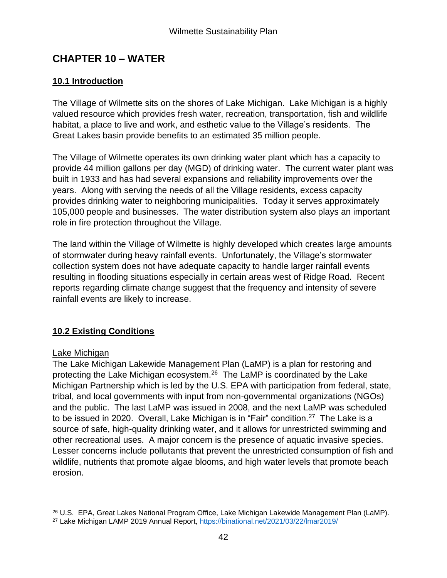# **CHAPTER 10 – WATER**

## **10.1 Introduction**

The Village of Wilmette sits on the shores of Lake Michigan. Lake Michigan is a highly valued resource which provides fresh water, recreation, transportation, fish and wildlife habitat, a place to live and work, and esthetic value to the Village's residents. The Great Lakes basin provide benefits to an estimated 35 million people.

The Village of Wilmette operates its own drinking water plant which has a capacity to provide 44 million gallons per day (MGD) of drinking water. The current water plant was built in 1933 and has had several expansions and reliability improvements over the years. Along with serving the needs of all the Village residents, excess capacity provides drinking water to neighboring municipalities. Today it serves approximately 105,000 people and businesses. The water distribution system also plays an important role in fire protection throughout the Village.

The land within the Village of Wilmette is highly developed which creates large amounts of stormwater during heavy rainfall events. Unfortunately, the Village's stormwater collection system does not have adequate capacity to handle larger rainfall events resulting in flooding situations especially in certain areas west of Ridge Road. Recent reports regarding climate change suggest that the frequency and intensity of severe rainfall events are likely to increase.

## **10.2 Existing Conditions**

#### Lake Michigan

The Lake Michigan Lakewide Management Plan (LaMP) is a plan for restoring and protecting the Lake Michigan ecosystem.<sup>26</sup> The LaMP is coordinated by the Lake Michigan Partnership which is led by the U.S. EPA with participation from federal, state, tribal, and local governments with input from non-governmental organizations (NGOs) and the public. The last LaMP was issued in 2008, and the next LaMP was scheduled to be issued in 2020. Overall, Lake Michigan is in "Fair" condition.<sup>27</sup> The Lake is a source of safe, high-quality drinking water, and it allows for unrestricted swimming and other recreational uses. A major concern is the presence of aquatic invasive species. Lesser concerns include pollutants that prevent the unrestricted consumption of fish and wildlife, nutrients that promote algae blooms, and high water levels that promote beach erosion.

<sup>26</sup> U.S. EPA, Great Lakes National Program Office, Lake Michigan Lakewide Management Plan (LaMP).

<sup>27</sup> Lake Michigan LAMP 2019 Annual Report,<https://binational.net/2021/03/22/lmar2019/>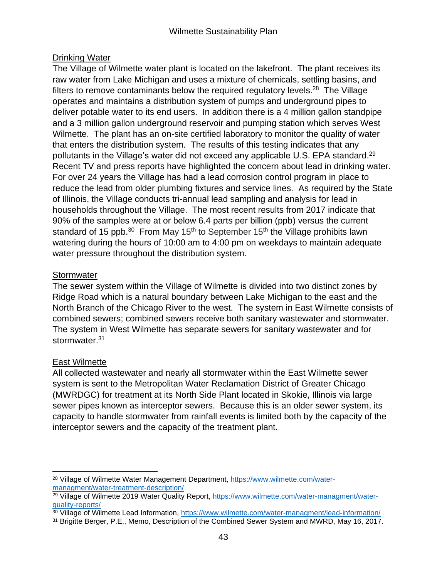## Drinking Water

The Village of Wilmette water plant is located on the lakefront. The plant receives its raw water from Lake Michigan and uses a mixture of chemicals, settling basins, and filters to remove contaminants below the required regulatory levels.<sup>28</sup> The Village operates and maintains a distribution system of pumps and underground pipes to deliver potable water to its end users. In addition there is a 4 million gallon standpipe and a 3 million gallon underground reservoir and pumping station which serves West Wilmette. The plant has an on-site certified laboratory to monitor the quality of water that enters the distribution system. The results of this testing indicates that any pollutants in the Village's water did not exceed any applicable U.S. EPA standard.<sup>29</sup> Recent TV and press reports have highlighted the concern about lead in drinking water. For over 24 years the Village has had a lead corrosion control program in place to reduce the lead from older plumbing fixtures and service lines. As required by the State of Illinois, the Village conducts tri-annual lead sampling and analysis for lead in households throughout the Village. The most recent results from 2017 indicate that 90% of the samples were at or below 6.4 parts per billion (ppb) versus the current standard of 15 ppb.<sup>30</sup> From May 15<sup>th</sup> to September 15<sup>th</sup> the Village prohibits lawn watering during the hours of 10:00 am to 4:00 pm on weekdays to maintain adequate water pressure throughout the distribution system.

## **Stormwater**

The sewer system within the Village of Wilmette is divided into two distinct zones by Ridge Road which is a natural boundary between Lake Michigan to the east and the North Branch of the Chicago River to the west. The system in East Wilmette consists of combined sewers; combined sewers receive both sanitary wastewater and stormwater. The system in West Wilmette has separate sewers for sanitary wastewater and for stormwater.<sup>31</sup>

## East Wilmette

All collected wastewater and nearly all stormwater within the East Wilmette sewer system is sent to the Metropolitan Water Reclamation District of Greater Chicago (MWRDGC) for treatment at its North Side Plant located in Skokie, Illinois via large sewer pipes known as interceptor sewers. Because this is an older sewer system, its capacity to handle stormwater from rainfall events is limited both by the capacity of the interceptor sewers and the capacity of the treatment plant.

<sup>28</sup> Village of Wilmette Water Management Department, [https://www.wilmette.com/water](https://www.wilmette.com/water-managment/water-treatment-description/)[managment/water-treatment-description/](https://www.wilmette.com/water-managment/water-treatment-description/)

<sup>&</sup>lt;sup>29</sup> Village of Wilmette 2019 Water Quality Report, [https://www.wilmette.com/water-managment/water](https://www.wilmette.com/water-managment/water-quality-reports/)[quality-reports/](https://www.wilmette.com/water-managment/water-quality-reports/)

<sup>30</sup> Village of Wilmette Lead Information,<https://www.wilmette.com/water-managment/lead-information/>

<sup>&</sup>lt;sup>31</sup> Brigitte Berger, P.E., Memo, Description of the Combined Sewer System and MWRD, May 16, 2017.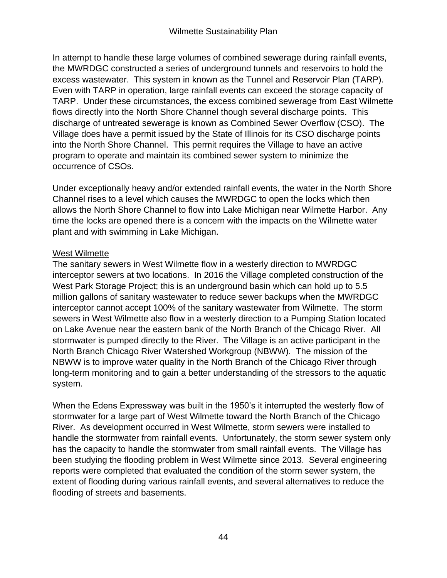In attempt to handle these large volumes of combined sewerage during rainfall events, the MWRDGC constructed a series of underground tunnels and reservoirs to hold the excess wastewater. This system in known as the Tunnel and Reservoir Plan (TARP). Even with TARP in operation, large rainfall events can exceed the storage capacity of TARP. Under these circumstances, the excess combined sewerage from East Wilmette flows directly into the North Shore Channel though several discharge points. This discharge of untreated sewerage is known as Combined Sewer Overflow (CSO). The Village does have a permit issued by the State of Illinois for its CSO discharge points into the North Shore Channel. This permit requires the Village to have an active program to operate and maintain its combined sewer system to minimize the occurrence of CSOs.

Under exceptionally heavy and/or extended rainfall events, the water in the North Shore Channel rises to a level which causes the MWRDGC to open the locks which then allows the North Shore Channel to flow into Lake Michigan near Wilmette Harbor. Any time the locks are opened there is a concern with the impacts on the Wilmette water plant and with swimming in Lake Michigan.

## West Wilmette

The sanitary sewers in West Wilmette flow in a westerly direction to MWRDGC interceptor sewers at two locations. In 2016 the Village completed construction of the West Park Storage Project; this is an underground basin which can hold up to 5.5 million gallons of sanitary wastewater to reduce sewer backups when the MWRDGC interceptor cannot accept 100% of the sanitary wastewater from Wilmette. The storm sewers in West Wilmette also flow in a westerly direction to a Pumping Station located on Lake Avenue near the eastern bank of the North Branch of the Chicago River. All stormwater is pumped directly to the River. The Village is an active participant in the North Branch Chicago River Watershed Workgroup (NBWW). The mission of the NBWW is to improve water quality in the North Branch of the Chicago River through long-term monitoring and to gain a better understanding of the stressors to the aquatic system.

When the Edens Expressway was built in the 1950's it interrupted the westerly flow of stormwater for a large part of West Wilmette toward the North Branch of the Chicago River. As development occurred in West Wilmette, storm sewers were installed to handle the stormwater from rainfall events. Unfortunately, the storm sewer system only has the capacity to handle the stormwater from small rainfall events. The Village has been studying the flooding problem in West Wilmette since 2013. Several engineering reports were completed that evaluated the condition of the storm sewer system, the extent of flooding during various rainfall events, and several alternatives to reduce the flooding of streets and basements.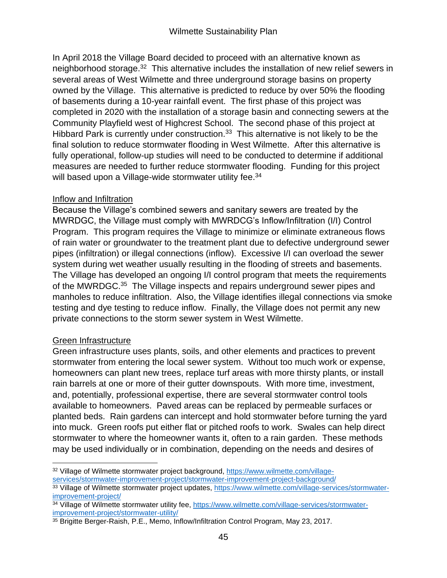In April 2018 the Village Board decided to proceed with an alternative known as neighborhood storage.<sup>32</sup> This alternative includes the installation of new relief sewers in several areas of West Wilmette and three underground storage basins on property owned by the Village. This alternative is predicted to reduce by over 50% the flooding of basements during a 10-year rainfall event. The first phase of this project was completed in 2020 with the installation of a storage basin and connecting sewers at the Community Playfield west of Highcrest School. The second phase of this project at Hibbard Park is currently under construction.<sup>33</sup> This alternative is not likely to be the final solution to reduce stormwater flooding in West Wilmette. After this alternative is fully operational, follow-up studies will need to be conducted to determine if additional measures are needed to further reduce stormwater flooding. Funding for this project will based upon a Village-wide stormwater utility fee.<sup>34</sup>

#### Inflow and Infiltration

Because the Village's combined sewers and sanitary sewers are treated by the MWRDGC, the Village must comply with MWRDCG's Inflow/Infiltration (I/I) Control Program. This program requires the Village to minimize or eliminate extraneous flows of rain water or groundwater to the treatment plant due to defective underground sewer pipes (infiltration) or illegal connections (inflow). Excessive I/I can overload the sewer system during wet weather usually resulting in the flooding of streets and basements. The Village has developed an ongoing I/I control program that meets the requirements of the MWRDGC.<sup>35</sup> The Village inspects and repairs underground sewer pipes and manholes to reduce infiltration. Also, the Village identifies illegal connections via smoke testing and dye testing to reduce inflow. Finally, the Village does not permit any new private connections to the storm sewer system in West Wilmette.

## Green Infrastructure

Green infrastructure uses plants, soils, and other elements and practices to prevent stormwater from entering the local sewer system. Without too much work or expense, homeowners can plant new trees, replace turf areas with more thirsty plants, or install rain barrels at one or more of their gutter downspouts. With more time, investment, and, potentially, professional expertise, there are several stormwater control tools available to homeowners. Paved areas can be replaced by permeable surfaces or planted beds. Rain gardens can intercept and hold stormwater before turning the yard into muck. Green roofs put either flat or pitched roofs to work. Swales can help direct stormwater to where the homeowner wants it, often to a rain garden. These methods may be used individually or in combination, depending on the needs and desires of

<sup>32</sup> Village of Wilmette stormwater project background, [https://www.wilmette.com/village-](https://www.wilmette.com/village-services/stormwater-improvement-project/stormwater-improvement-project-background/)

[services/stormwater-improvement-project/stormwater-improvement-project-background/](https://www.wilmette.com/village-services/stormwater-improvement-project/stormwater-improvement-project-background/)

<sup>33</sup> Village of Wilmette stormwater project updates, [https://www.wilmette.com/village-services/stormwater](https://www.wilmette.com/village-services/stormwater-improvement-project/)[improvement-project/](https://www.wilmette.com/village-services/stormwater-improvement-project/)

<sup>34</sup> Village of Wilmette stormwater utility fee, [https://www.wilmette.com/village-services/stormwater](https://www.wilmette.com/village-services/stormwater-improvement-project/stormwater-utility/)[improvement-project/stormwater-utility/](https://www.wilmette.com/village-services/stormwater-improvement-project/stormwater-utility/)

<sup>&</sup>lt;sup>35</sup> Brigitte Berger-Raish, P.E., Memo, Inflow/Infiltration Control Program, May 23, 2017.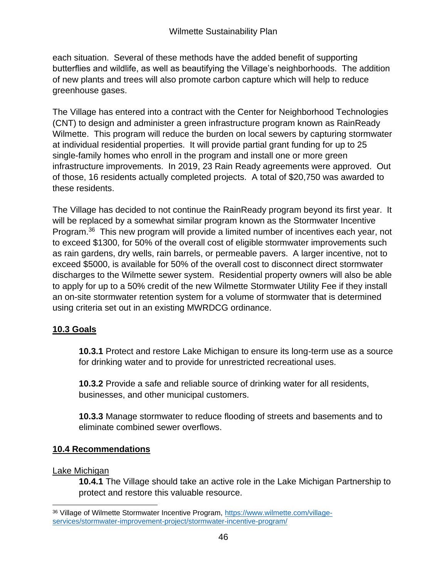each situation. Several of these methods have the added benefit of supporting butterflies and wildlife, as well as beautifying the Village's neighborhoods. The addition of new plants and trees will also promote carbon capture which will help to reduce greenhouse gases.

The Village has entered into a contract with the Center for Neighborhood Technologies (CNT) to design and administer a green infrastructure program known as RainReady Wilmette. This program will reduce the burden on local sewers by capturing stormwater at individual residential properties. It will provide partial grant funding for up to 25 single-family homes who enroll in the program and install one or more green infrastructure improvements. In 2019, 23 Rain Ready agreements were approved. Out of those, 16 residents actually completed projects. A total of \$20,750 was awarded to these residents.

The Village has decided to not continue the RainReady program beyond its first year. It will be replaced by a somewhat similar program known as the Stormwater Incentive Program.<sup>36</sup> This new program will provide a limited number of incentives each year, not to exceed \$1300, for 50% of the overall cost of eligible stormwater improvements such as rain gardens, dry wells, rain barrels, or permeable pavers. A larger incentive, not to exceed \$5000, is available for 50% of the overall cost to disconnect direct stormwater discharges to the Wilmette sewer system. Residential property owners will also be able to apply for up to a 50% credit of the new Wilmette Stormwater Utility Fee if they install an on-site stormwater retention system for a volume of stormwater that is determined using criteria set out in an existing MWRDCG ordinance.

# **10.3 Goals**

**10.3.1** Protect and restore Lake Michigan to ensure its long-term use as a source for drinking water and to provide for unrestricted recreational uses.

**10.3.2** Provide a safe and reliable source of drinking water for all residents, businesses, and other municipal customers.

**10.3.3** Manage stormwater to reduce flooding of streets and basements and to eliminate combined sewer overflows.

# **10.4 Recommendations**

## Lake Michigan

**10.4.1** The Village should take an active role in the Lake Michigan Partnership to protect and restore this valuable resource.

<sup>36</sup> Village of Wilmette Stormwater Incentive Program, [https://www.wilmette.com/village](https://www.wilmette.com/village-services/stormwater-improvement-project/stormwater-incentive-program/)[services/stormwater-improvement-project/stormwater-incentive-program/](https://www.wilmette.com/village-services/stormwater-improvement-project/stormwater-incentive-program/)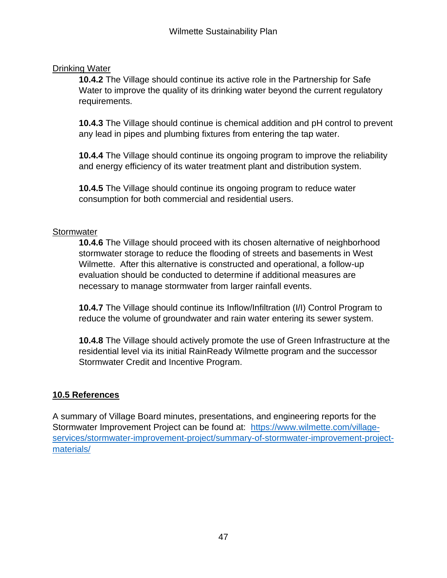## Drinking Water

**10.4.2** The Village should continue its active role in the Partnership for Safe Water to improve the quality of its drinking water beyond the current regulatory requirements.

**10.4.3** The Village should continue is chemical addition and pH control to prevent any lead in pipes and plumbing fixtures from entering the tap water.

**10.4.4** The Village should continue its ongoing program to improve the reliability and energy efficiency of its water treatment plant and distribution system.

**10.4.5** The Village should continue its ongoing program to reduce water consumption for both commercial and residential users.

#### **Stormwater**

**10.4.6** The Village should proceed with its chosen alternative of neighborhood stormwater storage to reduce the flooding of streets and basements in West Wilmette. After this alternative is constructed and operational, a follow-up evaluation should be conducted to determine if additional measures are necessary to manage stormwater from larger rainfall events.

**10.4.7** The Village should continue its Inflow/Infiltration (I/I) Control Program to reduce the volume of groundwater and rain water entering its sewer system.

**10.4.8** The Village should actively promote the use of Green Infrastructure at the residential level via its initial RainReady Wilmette program and the successor Stormwater Credit and Incentive Program.

## **10.5 References**

A summary of Village Board minutes, presentations, and engineering reports for the Stormwater Improvement Project can be found at: [https://www.wilmette.com/village](https://www.wilmette.com/village-services/stormwater-improvement-project/summary-of-stormwater-improvement-project-materials/)[services/stormwater-improvement-project/summary-of-stormwater-improvement-project](https://www.wilmette.com/village-services/stormwater-improvement-project/summary-of-stormwater-improvement-project-materials/)[materials/](https://www.wilmette.com/village-services/stormwater-improvement-project/summary-of-stormwater-improvement-project-materials/)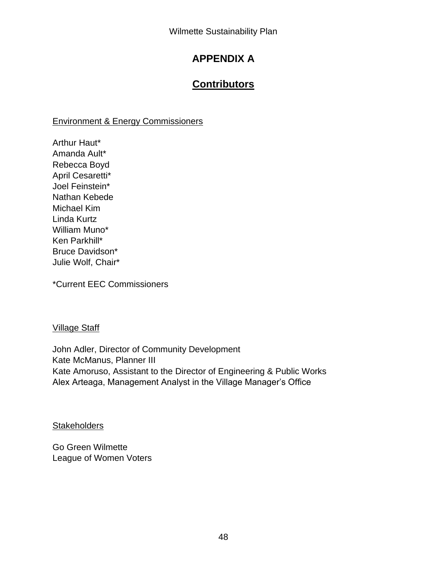# **APPENDIX A**

# **Contributors**

## Environment & Energy Commissioners

Arthur Haut\* Amanda Ault\* Rebecca Boyd April Cesaretti\* Joel Feinstein\* Nathan Kebede Michael Kim Linda Kurtz William Muno\* Ken Parkhill\* Bruce Davidson\* Julie Wolf, Chair\*

\*Current EEC Commissioners

## Village Staff

John Adler, Director of Community Development Kate McManus, Planner III Kate Amoruso, Assistant to the Director of Engineering & Public Works Alex Arteaga, Management Analyst in the Village Manager's Office

**Stakeholders** 

Go Green Wilmette League of Women Voters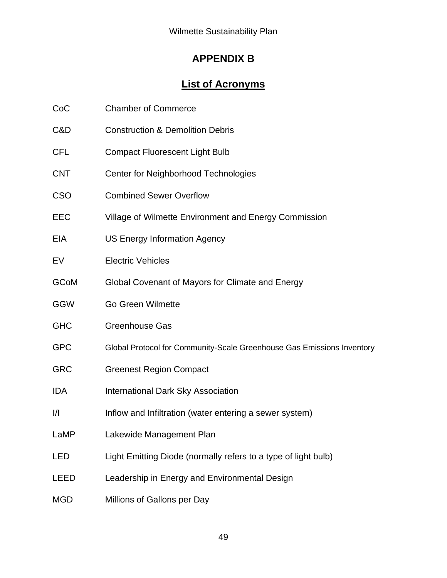# **APPENDIX B**

# **List of Acronyms**

| C&D           | <b>Construction &amp; Demolition Debris</b>                            |
|---------------|------------------------------------------------------------------------|
| <b>CFL</b>    | <b>Compact Fluorescent Light Bulb</b>                                  |
| <b>CNT</b>    | Center for Neighborhood Technologies                                   |
| <b>CSO</b>    | <b>Combined Sewer Overflow</b>                                         |
| <b>EEC</b>    | Village of Wilmette Environment and Energy Commission                  |
| EIA           | <b>US Energy Information Agency</b>                                    |
| EV            | <b>Electric Vehicles</b>                                               |
| <b>GCoM</b>   | Global Covenant of Mayors for Climate and Energy                       |
| <b>GGW</b>    | <b>Go Green Wilmette</b>                                               |
| <b>GHC</b>    | <b>Greenhouse Gas</b>                                                  |
| <b>GPC</b>    | Global Protocol for Community-Scale Greenhouse Gas Emissions Inventory |
| <b>GRC</b>    | <b>Greenest Region Compact</b>                                         |
| <b>IDA</b>    | <b>International Dark Sky Association</b>                              |
| $\frac{1}{1}$ | Inflow and Infiltration (water entering a sewer system)                |
| LaMP          | Lakewide Management Plan                                               |
| LED           | Light Emitting Diode (normally refers to a type of light bulb)         |
| <b>LEED</b>   | Leadership in Energy and Environmental Design                          |
|               |                                                                        |

MGD Millions of Gallons per Day

CoC Chamber of Commerce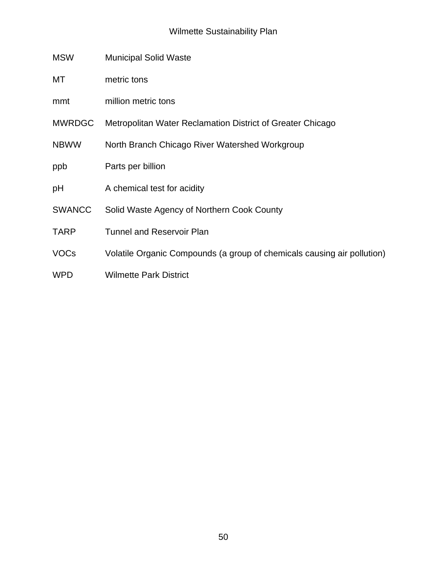#### Wilmette Sustainability Plan

- MSW Municipal Solid Waste
- MT metric tons
- mmt million metric tons
- MWRDGC Metropolitan Water Reclamation District of Greater Chicago
- NBWW North Branch Chicago River Watershed Workgroup
- ppb Parts per billion
- pH A chemical test for acidity
- SWANCC Solid Waste Agency of Northern Cook County
- TARP Tunnel and Reservoir Plan
- VOCs Volatile Organic Compounds (a group of chemicals causing air pollution)
- WPD Wilmette Park District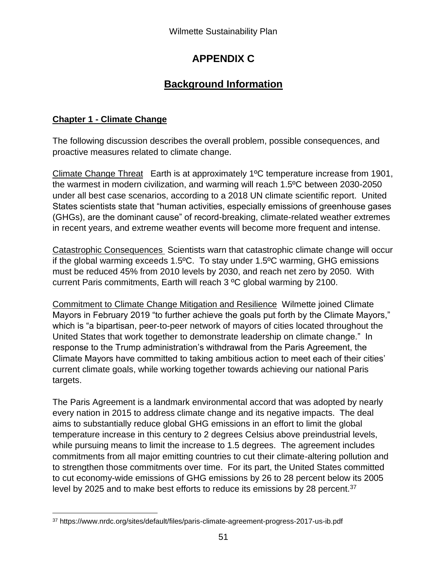# **APPENDIX C**

# **Background Information**

# **Chapter 1 - Climate Change**

The following discussion describes the overall problem, possible consequences, and proactive measures related to climate change.

Climate Change Threat Earth is at approximately 1ºC temperature increase from 1901, the warmest in modern civilization, and warming will reach 1.5ºC between 2030-2050 under all best case scenarios, according to a 2018 UN climate scientific report. United States scientists state that "human activities, especially emissions of greenhouse gases (GHGs), are the dominant cause" of record-breaking, climate-related weather extremes in recent years, and extreme weather events will become more frequent and intense.

Catastrophic Consequences Scientists warn that catastrophic climate change will occur if the global warming exceeds 1.5ºC. To stay under 1.5ºC warming, GHG emissions must be reduced 45% from 2010 levels by 2030, and reach net zero by 2050. With current Paris commitments, Earth will reach 3 ºC global warming by 2100.

Commitment to Climate Change Mitigation and Resilience Wilmette joined Climate Mayors in February 2019 "to further achieve the goals put forth by the Climate Mayors," which is "a bipartisan, peer-to-peer network of mayors of cities located throughout the United States that work together to demonstrate leadership on climate change." In response to the Trump administration's withdrawal from the Paris Agreement, the Climate Mayors have committed to taking ambitious action to meet each of their cities' current climate goals, while working together towards achieving our national Paris targets.

The Paris Agreement is a landmark environmental accord that was adopted by nearly every nation in 2015 to address climate change and its negative impacts. The deal aims to substantially reduce global GHG emissions in an effort to limit the global temperature increase in this century to 2 degrees Celsius above preindustrial levels, while pursuing means to limit the increase to 1.5 degrees. The agreement includes commitments from all major emitting countries to cut their climate-altering pollution and to strengthen those commitments over time. For its part, the United States committed to cut economy-wide emissions of GHG emissions by 26 to 28 percent below its 2005 level by 2025 and to make best efforts to reduce its emissions by 28 percent.<sup>37</sup>

<sup>37</sup> https://www.nrdc.org/sites/default/files/paris-climate-agreement-progress-2017-us-ib.pdf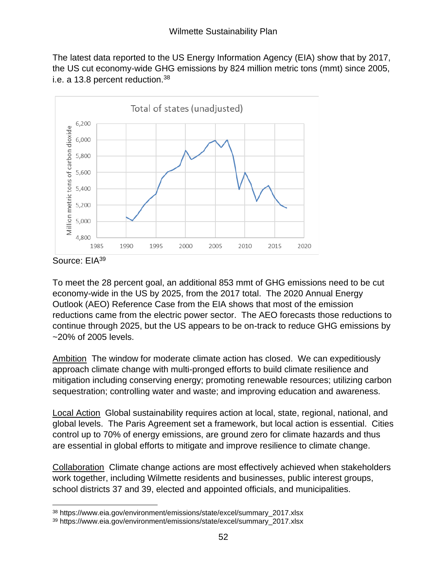The latest data reported to the US Energy Information Agency (EIA) show that by 2017, the US cut economy-wide GHG emissions by 824 million metric tons (mmt) since 2005, i.e. a 13.8 percent reduction.<sup>38</sup>



Source: EIA<sup>39</sup>

To meet the 28 percent goal, an additional 853 mmt of GHG emissions need to be cut economy-wide in the US by 2025, from the 2017 total. The 2020 Annual Energy Outlook (AEO) Reference Case from the EIA shows that most of the emission reductions came from the electric power sector. The AEO forecasts those reductions to continue through 2025, but the US appears to be on-track to reduce GHG emissions by ~20% of 2005 levels.

Ambition The window for moderate climate action has closed. We can expeditiously approach climate change with multi-pronged efforts to build climate resilience and mitigation including conserving energy; promoting renewable resources; utilizing carbon sequestration; controlling water and waste; and improving education and awareness.

Local Action Global sustainability requires action at local, state, regional, national, and global levels. The Paris Agreement set a framework, but local action is essential. Cities control up to 70% of energy emissions, are ground zero for climate hazards and thus are essential in global efforts to mitigate and improve resilience to climate change.

Collaboration Climate change actions are most effectively achieved when stakeholders work together, including Wilmette residents and businesses, public interest groups, school districts 37 and 39, elected and appointed officials, and municipalities.

<sup>38</sup> https://www.eia.gov/environment/emissions/state/excel/summary\_2017.xlsx

<sup>39</sup> https://www.eia.gov/environment/emissions/state/excel/summary\_2017.xlsx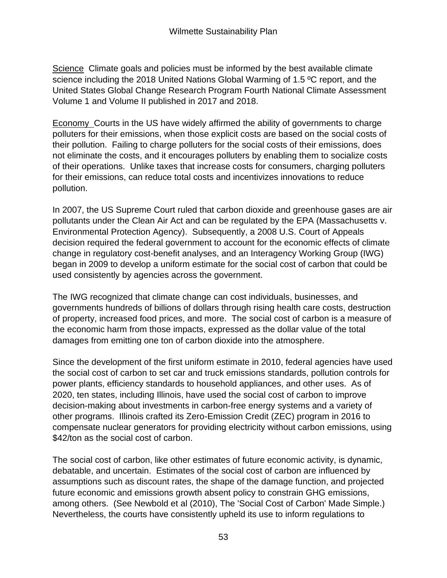Science Climate goals and policies must be informed by the best available climate science including the 2018 United Nations Global Warming of 1.5 ºC report, and the United States Global Change Research Program Fourth National Climate Assessment Volume 1 and Volume II published in 2017 and 2018.

Economy Courts in the US have widely affirmed the ability of governments to charge polluters for their emissions, when those explicit costs are based on the social costs of their pollution. Failing to charge polluters for the social costs of their emissions, does not eliminate the costs, and it encourages polluters by enabling them to socialize costs of their operations. Unlike taxes that increase costs for consumers, charging polluters for their emissions, can reduce total costs and incentivizes innovations to reduce pollution.

In 2007, the US Supreme Court ruled that carbon dioxide and greenhouse gases are air pollutants under the Clean Air Act and can be regulated by the EPA (Massachusetts v. Environmental Protection Agency). Subsequently, a 2008 U.S. Court of Appeals decision required the federal government to account for the economic effects of climate change in regulatory cost-benefit analyses, and an Interagency Working Group (IWG) began in 2009 to develop a uniform estimate for the social cost of carbon that could be used consistently by agencies across the government.

The IWG recognized that climate change can cost individuals, businesses, and governments hundreds of billions of dollars through rising health care costs, destruction of property, increased food prices, and more. The social cost of carbon is a measure of the economic harm from those impacts, expressed as the dollar value of the total damages from emitting one ton of carbon dioxide into the atmosphere.

Since the development of the first uniform estimate in 2010, federal agencies have used the social cost of carbon to set car and truck emissions standards, pollution controls for power plants, efficiency standards to household appliances, and other uses. As of 2020, ten states, including Illinois, have used the social cost of carbon to improve decision-making about investments in carbon-free energy systems and a variety of other programs. Illinois crafted its Zero-Emission Credit (ZEC) program in 2016 to compensate nuclear generators for providing electricity without carbon emissions, using \$42/ton as the social cost of carbon.

The social cost of carbon, like other estimates of future economic activity, is dynamic, debatable, and uncertain. Estimates of the social cost of carbon are influenced by assumptions such as discount rates, the shape of the damage function, and projected future economic and emissions growth absent policy to constrain GHG emissions, among others. (See Newbold et al (2010), The 'Social Cost of Carbon' Made Simple.) Nevertheless, the courts have consistently upheld its use to inform regulations to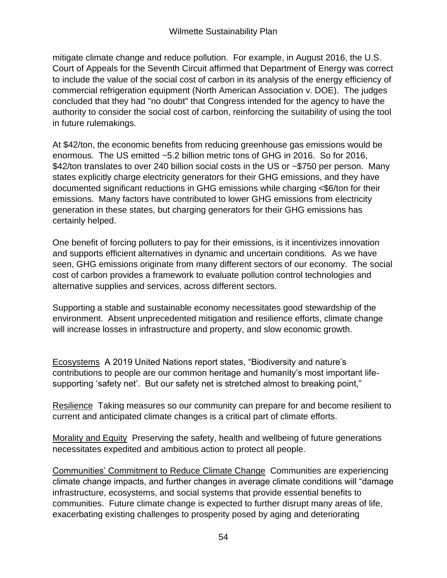mitigate climate change and reduce pollution. For example, in August 2016, the U.S. Court of Appeals for the Seventh Circuit affirmed that Department of Energy was correct to include the value of the social cost of carbon in its analysis of the energy efficiency of commercial refrigeration equipment (North American Association v. DOE). The judges concluded that they had "no doubt" that Congress intended for the agency to have the authority to consider the social cost of carbon, reinforcing the suitability of using the tool in future rulemakings.

At \$42/ton, the economic benefits from reducing greenhouse gas emissions would be enormous. The US emitted ~5.2 billion metric tons of GHG in 2016. So for 2016, \$42/ton translates to over 240 billion social costs in the US or ~\$750 per person. Many states explicitly charge electricity generators for their GHG emissions, and they have documented significant reductions in GHG emissions while charging <\$6/ton for their emissions. Many factors have contributed to lower GHG emissions from electricity generation in these states, but charging generators for their GHG emissions has certainly helped.

One benefit of forcing polluters to pay for their emissions, is it incentivizes innovation and supports efficient alternatives in dynamic and uncertain conditions. As we have seen, GHG emissions originate from many different sectors of our economy. The social cost of carbon provides a framework to evaluate pollution control technologies and alternative supplies and services, across different sectors.

Supporting a stable and sustainable economy necessitates good stewardship of the environment. Absent unprecedented mitigation and resilience efforts, climate change will increase losses in infrastructure and property, and slow economic growth.

Ecosystems A 2019 United Nations report states, "Biodiversity and nature's contributions to people are our common heritage and humanity's most important lifesupporting 'safety net'. But our safety net is stretched almost to breaking point,"

Resilience Taking measures so our community can prepare for and become resilient to current and anticipated climate changes is a critical part of climate efforts.

Morality and Equity Preserving the safety, health and wellbeing of future generations necessitates expedited and ambitious action to protect all people.

Communities' Commitment to Reduce Climate Change Communities are experiencing climate change impacts, and further changes in average climate conditions will "damage infrastructure, ecosystems, and social systems that provide essential benefits to communities. Future climate change is expected to further disrupt many areas of life, exacerbating existing challenges to prosperity posed by aging and deteriorating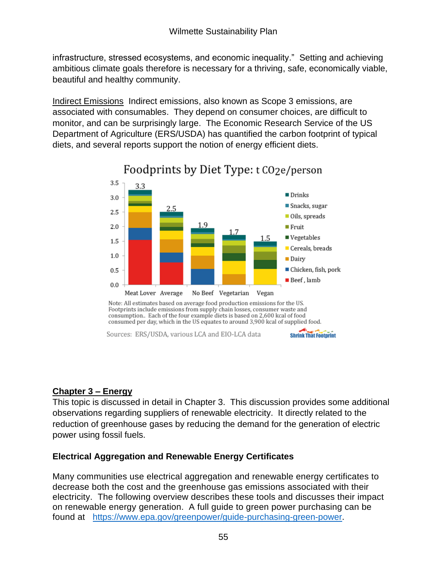infrastructure, stressed ecosystems, and economic inequality." Setting and achieving ambitious climate goals therefore is necessary for a thriving, safe, economically viable, beautiful and healthy community.

Indirect Emissions Indirect emissions, also known as Scope 3 emissions, are associated with consumables. They depend on consumer choices, are difficult to monitor, and can be surprisingly large. The Economic Research Service of the US Department of Agriculture (ERS/USDA) has quantified the carbon footprint of typical diets, and several reports support the notion of energy efficient diets.



# Foodprints by Diet Type: t CO2e/person

Footprints include emissions from supply chain losses, consumer waste and consumption.. Each of the four example diets is based on 2,600 kcal of food consumed per day, which in the US equates to around 3,900 kcal of supplied food.

**Shrink That Footprint** 

Sources: ERS/USDA, various LCA and EIO-LCA data

## **Chapter 3 – Energy**

This topic is discussed in detail in Chapter 3. This discussion provides some additional observations regarding suppliers of renewable electricity. It directly related to the reduction of greenhouse gases by reducing the demand for the generation of electric power using fossil fuels.

# **Electrical Aggregation and Renewable Energy Certificates**

Many communities use electrical aggregation and renewable energy certificates to decrease both the cost and the greenhouse gas emissions associated with their electricity. The following overview describes these tools and discusses their impact on renewable energy generation. A full guide to green power purchasing can be found at [https://www.epa.gov/greenpower/guide-purchasing-green-power.](https://www.epa.gov/greenpower/guide-purchasing-green-power)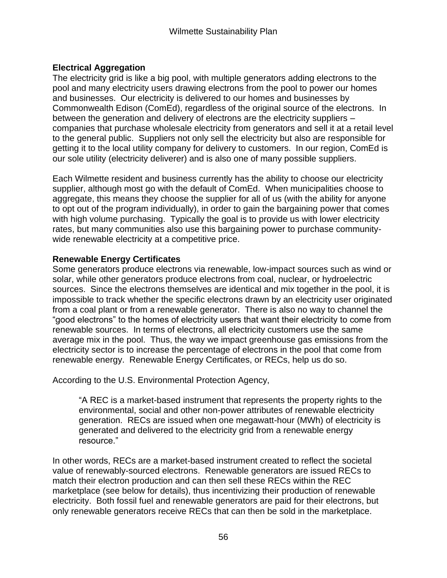## **Electrical Aggregation**

The electricity grid is like a big pool, with multiple generators adding electrons to the pool and many electricity users drawing electrons from the pool to power our homes and businesses. Our electricity is delivered to our homes and businesses by Commonwealth Edison (ComEd), regardless of the original source of the electrons. In between the generation and delivery of electrons are the electricity suppliers – companies that purchase wholesale electricity from generators and sell it at a retail level to the general public. Suppliers not only sell the electricity but also are responsible for getting it to the local utility company for delivery to customers. In our region, ComEd is our sole utility (electricity deliverer) and is also one of many possible suppliers.

Each Wilmette resident and business currently has the ability to choose our electricity supplier, although most go with the default of ComEd. When municipalities choose to aggregate, this means they choose the supplier for all of us (with the ability for anyone to opt out of the program individually), in order to gain the bargaining power that comes with high volume purchasing. Typically the goal is to provide us with lower electricity rates, but many communities also use this bargaining power to purchase communitywide renewable electricity at a competitive price.

## **Renewable Energy Certificates**

Some generators produce electrons via renewable, low-impact sources such as wind or solar, while other generators produce electrons from coal, nuclear, or hydroelectric sources. Since the electrons themselves are identical and mix together in the pool, it is impossible to track whether the specific electrons drawn by an electricity user originated from a coal plant or from a renewable generator. There is also no way to channel the "good electrons" to the homes of electricity users that want their electricity to come from renewable sources. In terms of electrons, all electricity customers use the same average mix in the pool. Thus, the way we impact greenhouse gas emissions from the electricity sector is to increase the percentage of electrons in the pool that come from renewable energy. Renewable Energy Certificates, or RECs, help us do so.

According to the U.S. Environmental Protection Agency,

"A REC is a market-based instrument that represents the property rights to the environmental, social and other non-power attributes of renewable electricity generation. RECs are issued when one megawatt-hour (MWh) of electricity is generated and delivered to the electricity grid from a renewable energy resource."

In other words, RECs are a market-based instrument created to reflect the societal value of renewably-sourced electrons. Renewable generators are issued RECs to match their electron production and can then sell these RECs within the REC marketplace (see below for details), thus incentivizing their production of renewable electricity. Both fossil fuel and renewable generators are paid for their electrons, but only renewable generators receive RECs that can then be sold in the marketplace.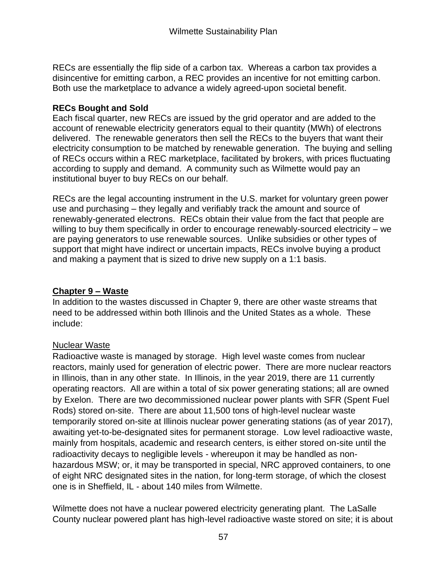RECs are essentially the flip side of a carbon tax. Whereas a carbon tax provides a disincentive for emitting carbon, a REC provides an incentive for not emitting carbon. Both use the marketplace to advance a widely agreed-upon societal benefit.

## **RECs Bought and Sold**

Each fiscal quarter, new RECs are issued by the grid operator and are added to the account of renewable electricity generators equal to their quantity (MWh) of electrons delivered. The renewable generators then sell the RECs to the buyers that want their electricity consumption to be matched by renewable generation. The buying and selling of RECs occurs within a REC marketplace, facilitated by brokers, with prices fluctuating according to supply and demand. A community such as Wilmette would pay an institutional buyer to buy RECs on our behalf.

RECs are the legal accounting instrument in the U.S. market for voluntary green power use and purchasing – they legally and verifiably track the amount and source of renewably-generated electrons. RECs obtain their value from the fact that people are willing to buy them specifically in order to encourage renewably-sourced electricity – we are paying generators to use renewable sources. Unlike subsidies or other types of support that might have indirect or uncertain impacts, RECs involve buying a product and making a payment that is sized to drive new supply on a 1:1 basis.

# **Chapter 9 – Waste**

In addition to the wastes discussed in Chapter 9, there are other waste streams that need to be addressed within both Illinois and the United States as a whole. These include:

# Nuclear Waste

Radioactive waste is managed by storage. High level waste comes from nuclear reactors, mainly used for generation of electric power. There are more nuclear reactors in Illinois, than in any other state. In Illinois, in the year 2019, there are 11 currently operating reactors. All are within a total of six power generating stations; all are owned by Exelon. There are two decommissioned nuclear power plants with SFR (Spent Fuel Rods) stored on-site. There are about 11,500 tons of high-level nuclear waste temporarily stored on-site at Illinois nuclear power generating stations (as of year 2017), awaiting yet-to-be-designated sites for permanent storage. Low level radioactive waste, mainly from hospitals, academic and research centers, is either stored on-site until the radioactivity decays to negligible levels - whereupon it may be handled as nonhazardous MSW; or, it may be transported in special, NRC approved containers, to one of eight NRC designated sites in the nation, for long-term storage, of which the closest one is in Sheffield, IL - about 140 miles from Wilmette.

Wilmette does not have a nuclear powered electricity generating plant. The LaSalle County nuclear powered plant has high-level radioactive waste stored on site; it is about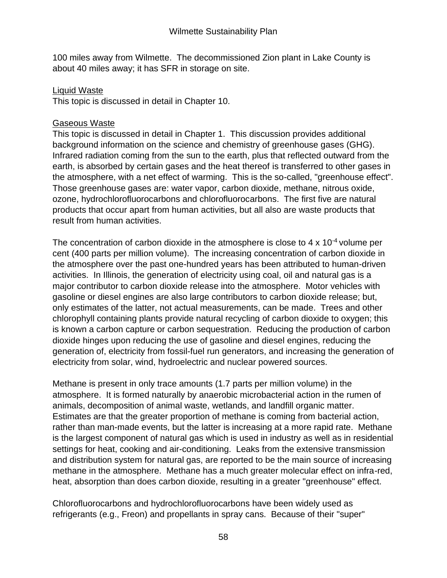100 miles away from Wilmette. The decommissioned Zion plant in Lake County is about 40 miles away; it has SFR in storage on site.

## Liquid Waste

This topic is discussed in detail in Chapter 10.

## Gaseous Waste

This topic is discussed in detail in Chapter 1. This discussion provides additional background information on the science and chemistry of greenhouse gases (GHG). Infrared radiation coming from the sun to the earth, plus that reflected outward from the earth, is absorbed by certain gases and the heat thereof is transferred to other gases in the atmosphere, with a net effect of warming. This is the so-called, "greenhouse effect". Those greenhouse gases are: water vapor, carbon dioxide, methane, nitrous oxide, ozone, hydrochlorofluorocarbons and chlorofluorocarbons. The first five are natural products that occur apart from human activities, but all also are waste products that result from human activities.

The concentration of carbon dioxide in the atmosphere is close to 4 x 10-4 volume per cent (400 parts per million volume). The increasing concentration of carbon dioxide in the atmosphere over the past one-hundred years has been attributed to human-driven activities. In Illinois, the generation of electricity using coal, oil and natural gas is a major contributor to carbon dioxide release into the atmosphere. Motor vehicles with gasoline or diesel engines are also large contributors to carbon dioxide release; but, only estimates of the latter, not actual measurements, can be made. Trees and other chlorophyll containing plants provide natural recycling of carbon dioxide to oxygen; this is known a carbon capture or carbon sequestration. Reducing the production of carbon dioxide hinges upon reducing the use of gasoline and diesel engines, reducing the generation of, electricity from fossil-fuel run generators, and increasing the generation of electricity from solar, wind, hydroelectric and nuclear powered sources.

Methane is present in only trace amounts (1.7 parts per million volume) in the atmosphere. It is formed naturally by anaerobic microbacterial action in the rumen of animals, decomposition of animal waste, wetlands, and landfill organic matter. Estimates are that the greater proportion of methane is coming from bacterial action, rather than man-made events, but the latter is increasing at a more rapid rate. Methane is the largest component of natural gas which is used in industry as well as in residential settings for heat, cooking and air-conditioning. Leaks from the extensive transmission and distribution system for natural gas, are reported to be the main source of increasing methane in the atmosphere. Methane has a much greater molecular effect on infra-red, heat, absorption than does carbon dioxide, resulting in a greater "greenhouse" effect.

Chlorofluorocarbons and hydrochlorofluorocarbons have been widely used as refrigerants (e.g., Freon) and propellants in spray cans. Because of their "super"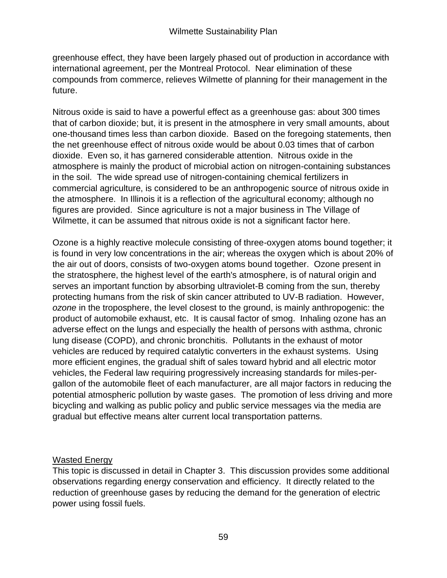greenhouse effect, they have been largely phased out of production in accordance with international agreement, per the Montreal Protocol. Near elimination of these compounds from commerce, relieves Wilmette of planning for their management in the future.

Nitrous oxide is said to have a powerful effect as a greenhouse gas: about 300 times that of carbon dioxide; but, it is present in the atmosphere in very small amounts, about one-thousand times less than carbon dioxide. Based on the foregoing statements, then the net greenhouse effect of nitrous oxide would be about 0.03 times that of carbon dioxide. Even so, it has garnered considerable attention. Nitrous oxide in the atmosphere is mainly the product of microbial action on nitrogen-containing substances in the soil. The wide spread use of nitrogen-containing chemical fertilizers in commercial agriculture, is considered to be an anthropogenic source of nitrous oxide in the atmosphere. In Illinois it is a reflection of the agricultural economy; although no figures are provided. Since agriculture is not a major business in The Village of Wilmette, it can be assumed that nitrous oxide is not a significant factor here.

Ozone is a highly reactive molecule consisting of three-oxygen atoms bound together; it is found in very low concentrations in the air; whereas the oxygen which is about 20% of the air out of doors, consists of two-oxygen atoms bound together. Ozone present in the stratosphere, the highest level of the earth's atmosphere, is of natural origin and serves an important function by absorbing ultraviolet-B coming from the sun, thereby protecting humans from the risk of skin cancer attributed to UV-B radiation. However, *ozone* in the troposphere, the level closest to the ground, is mainly anthropogenic: the product of automobile exhaust, etc. It is causal factor of smog. Inhaling ozone has an adverse effect on the lungs and especially the health of persons with asthma, chronic lung disease (COPD), and chronic bronchitis. Pollutants in the exhaust of motor vehicles are reduced by required catalytic converters in the exhaust systems. Using more efficient engines, the gradual shift of sales toward hybrid and all electric motor vehicles, the Federal law requiring progressively increasing standards for miles-pergallon of the automobile fleet of each manufacturer, are all major factors in reducing the potential atmospheric pollution by waste gases. The promotion of less driving and more bicycling and walking as public policy and public service messages via the media are gradual but effective means alter current local transportation patterns.

# Wasted Energy

This topic is discussed in detail in Chapter 3. This discussion provides some additional observations regarding energy conservation and efficiency. It directly related to the reduction of greenhouse gases by reducing the demand for the generation of electric power using fossil fuels.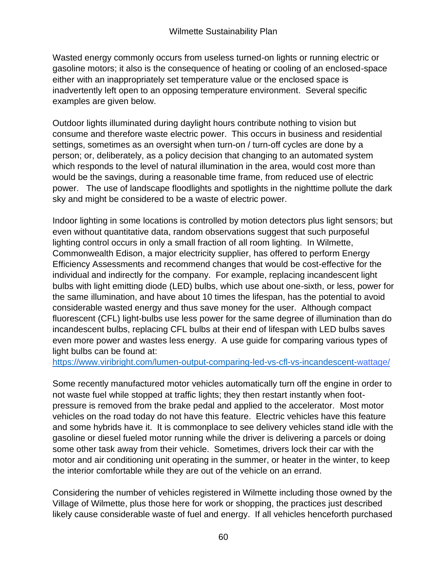Wasted energy commonly occurs from useless turned-on lights or running electric or gasoline motors; it also is the consequence of heating or cooling of an enclosed-space either with an inappropriately set temperature value or the enclosed space is inadvertently left open to an opposing temperature environment. Several specific examples are given below.

Outdoor lights illuminated during daylight hours contribute nothing to vision but consume and therefore waste electric power. This occurs in business and residential settings, sometimes as an oversight when turn-on / turn-off cycles are done by a person; or, deliberately, as a policy decision that changing to an automated system which responds to the level of natural illumination in the area, would cost more than would be the savings, during a reasonable time frame, from reduced use of electric power. The use of landscape floodlights and spotlights in the nighttime pollute the dark sky and might be considered to be a waste of electric power.

Indoor lighting in some locations is controlled by motion detectors plus light sensors; but even without quantitative data, random observations suggest that such purposeful lighting control occurs in only a small fraction of all room lighting. In Wilmette, Commonwealth Edison, a major electricity supplier, has offered to perform Energy Efficiency Assessments and recommend changes that would be cost-effective for the individual and indirectly for the company. For example, replacing incandescent light bulbs with light emitting diode (LED) bulbs, which use about one-sixth, or less, power for the same illumination, and have about 10 times the lifespan, has the potential to avoid considerable wasted energy and thus save money for the user. Although compact fluorescent (CFL) light-bulbs use less power for the same degree of illumination than do incandescent bulbs, replacing CFL bulbs at their end of lifespan with LED bulbs saves even more power and wastes less energy. A use guide for comparing various types of light bulbs can be found at:

[https://www.viribright.com/lumen-output-comparing-led-vs-cfl-vs-incandescent-w](https://www.viribright.com/lumen-output-comparing-led-vs-cfl-vs-incandescent-)attage/

Some recently manufactured motor vehicles automatically turn off the engine in order to not waste fuel while stopped at traffic lights; they then restart instantly when footpressure is removed from the brake pedal and applied to the accelerator. Most motor vehicles on the road today do not have this feature. Electric vehicles have this feature and some hybrids have it. It is commonplace to see delivery vehicles stand idle with the gasoline or diesel fueled motor running while the driver is delivering a parcels or doing some other task away from their vehicle. Sometimes, drivers lock their car with the motor and air conditioning unit operating in the summer, or heater in the winter, to keep the interior comfortable while they are out of the vehicle on an errand.

Considering the number of vehicles registered in Wilmette including those owned by the Village of Wilmette, plus those here for work or shopping, the practices just described likely cause considerable waste of fuel and energy. If all vehicles henceforth purchased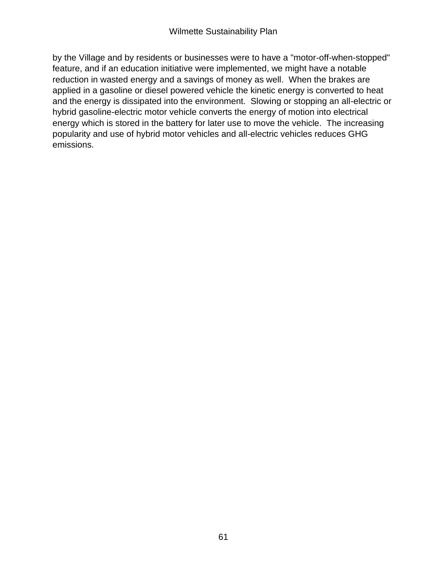by the Village and by residents or businesses were to have a "motor-off-when-stopped" feature, and if an education initiative were implemented, we might have a notable reduction in wasted energy and a savings of money as well. When the brakes are applied in a gasoline or diesel powered vehicle the kinetic energy is converted to heat and the energy is dissipated into the environment. Slowing or stopping an all-electric or hybrid gasoline-electric motor vehicle converts the energy of motion into electrical energy which is stored in the battery for later use to move the vehicle. The increasing popularity and use of hybrid motor vehicles and all-electric vehicles reduces GHG emissions.